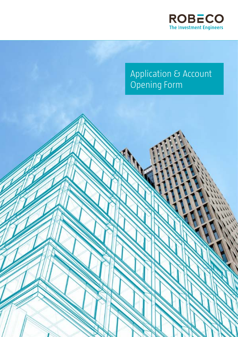

# Application & Account Opening Form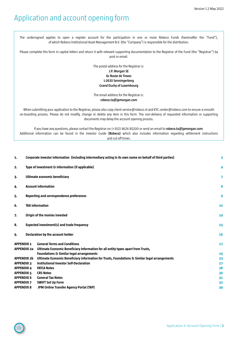# Application and account opening form

The undersigned applies to open a register account for the participation in one or more Robeco Funds (hereinafter the "Fund"), of which Robeco Institutional Asset Management B.V. (the "Company") is responsible for the distribution.

Please complete this form in capital letters and return it with relevant supporting documentation to the Registrar of the Fund (the "Registrar") by post or email.

> The postal address for the Registrar is: **J.P. Morgan SE 6c Route de Treves L-2633 Senningerberg Grand Duchy of Luxembourg**

> The email address for the Registrar is: **[robeco.ta@jpmorgan.com](mailto:robeco.ta%40jpmorgan.com?subject=)**

When submitting your application to the Registrar, please also copy client.service@robeco.nl and KYC.center@robeco.com to ensure a smooth on-boarding process. Please do not modify, change or delete any item in this form. The non-delivery of requested information or supporting documents may delay the account opening process.

If you have any questions, please contact the Registrar on (+352) 4626 85200 or send an email to **robeco.ta@jpmorgan.com**. Additional information can be found in the Investor Guide **(Robeco)** which also includes information regarding settlement instructions and cut-off times.

|                                         |                                                                                                                                                                                 | 3                                                                                                                                                                                                                                                                                                                                                                                                                                                                                                                                                                                 |
|-----------------------------------------|---------------------------------------------------------------------------------------------------------------------------------------------------------------------------------|-----------------------------------------------------------------------------------------------------------------------------------------------------------------------------------------------------------------------------------------------------------------------------------------------------------------------------------------------------------------------------------------------------------------------------------------------------------------------------------------------------------------------------------------------------------------------------------|
|                                         |                                                                                                                                                                                 | 4                                                                                                                                                                                                                                                                                                                                                                                                                                                                                                                                                                                 |
|                                         |                                                                                                                                                                                 | 7                                                                                                                                                                                                                                                                                                                                                                                                                                                                                                                                                                                 |
|                                         |                                                                                                                                                                                 | 8                                                                                                                                                                                                                                                                                                                                                                                                                                                                                                                                                                                 |
|                                         |                                                                                                                                                                                 | 9                                                                                                                                                                                                                                                                                                                                                                                                                                                                                                                                                                                 |
|                                         |                                                                                                                                                                                 | 10                                                                                                                                                                                                                                                                                                                                                                                                                                                                                                                                                                                |
|                                         |                                                                                                                                                                                 | 14                                                                                                                                                                                                                                                                                                                                                                                                                                                                                                                                                                                |
|                                         |                                                                                                                                                                                 | 15                                                                                                                                                                                                                                                                                                                                                                                                                                                                                                                                                                                |
|                                         |                                                                                                                                                                                 | 16                                                                                                                                                                                                                                                                                                                                                                                                                                                                                                                                                                                |
| <b>APPENDIX 1</b><br><b>APPENDIX 2a</b> | <b>General Terms and Conditions</b><br>Ultimate Economic Beneficiary Information for all entity types apart from Trusts,<br><b>Foundations &amp; Similar legal arrangements</b> | 17<br>19<br>23                                                                                                                                                                                                                                                                                                                                                                                                                                                                                                                                                                    |
|                                         |                                                                                                                                                                                 | 27                                                                                                                                                                                                                                                                                                                                                                                                                                                                                                                                                                                |
| <b>APPENDIX 4</b>                       | <b>FATCA Notes</b>                                                                                                                                                              | 28                                                                                                                                                                                                                                                                                                                                                                                                                                                                                                                                                                                |
| <b>APPENDIX 5</b>                       | <b>CRS Notes</b>                                                                                                                                                                | 30                                                                                                                                                                                                                                                                                                                                                                                                                                                                                                                                                                                |
| <b>APPENDIX 6</b>                       | <b>General Tax Notes</b>                                                                                                                                                        | 31                                                                                                                                                                                                                                                                                                                                                                                                                                                                                                                                                                                |
| <b>APPENDIX 7</b>                       | <b>SWIFT Set Up Form</b>                                                                                                                                                        | 32                                                                                                                                                                                                                                                                                                                                                                                                                                                                                                                                                                                |
| <b>APPENDIX 8</b>                       | JPM Online Transfer Agency Portal (TAP)                                                                                                                                         | 34                                                                                                                                                                                                                                                                                                                                                                                                                                                                                                                                                                                |
|                                         | <b>APPENDIX 2b</b><br><b>APPENDIX 3</b>                                                                                                                                         | Corporate investor information (including intermediary acting in its own name on behalf of third parties)<br>Type of investment & information (if applicable)<br>Ultimate economic beneficiary<br><b>Account information</b><br>Reporting and correspondence preferences<br><b>TAX information</b><br>Origin of the monies invested<br><b>Expected investment(s) and trade frequency</b><br>Declaration by the account holder<br>Ultimate Economic Beneficiary information for Trusts, Foundations & Similar legal arrangements<br><b>Institutional Investor Self-Declaration</b> |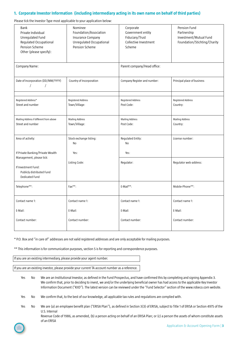# <span id="page-2-0"></span>**1. Corporate Investor Information (including intermediary acting in its own name on behalf of third parties)**

Please tick the Investor Type most applicable to your application below:

|                                                                                                                                            | k the investor type most applicable to your application selow.                                       |                                                                                      |                                                                                       |
|--------------------------------------------------------------------------------------------------------------------------------------------|------------------------------------------------------------------------------------------------------|--------------------------------------------------------------------------------------|---------------------------------------------------------------------------------------|
| Bank<br>Private Individual<br>Unregulated Fund<br>Regulated Occupational<br>Pension Scheme<br>Other (please specify):                      | Nominee<br>Foundation/Association<br>Insurance Company<br>Unregulated Occupational<br>Pension Scheme | Corporate<br>Government entity<br>Fiduciary/Trust<br>Collective Investment<br>Scheme | Pension Fund<br>Partnership<br>Investment/Mutual Fund<br>Foundation/Stichting/Charity |
| Company Name:                                                                                                                              |                                                                                                      | Parent company/Head office:                                                          |                                                                                       |
| Date of Incorporation (DD/MM/YYYY)<br>$\prime$<br>$\sqrt{2}$                                                                               | Country of Incorporation                                                                             | Company Register and number:                                                         | Principal place of business                                                           |
| Registered Address*<br>Street and number                                                                                                   | Registered Address<br>Town/Village:                                                                  | Registered Address<br>Post Code:                                                     | <b>Registered Address</b><br>Country:                                                 |
| Mailing Address if different from above<br>Street and number                                                                               | <b>Mailing Address</b><br>Town/Village:                                                              | <b>Mailing Address</b><br>Post Code:                                                 | <b>Mailing Address</b><br>Country:                                                    |
| Area of activity:                                                                                                                          | Stock exchange listing:<br>No                                                                        | Regulated Entity:<br>No                                                              | License number:                                                                       |
| If Private Banking/Private Wealth<br>Management, please tick:<br>If Investment Fund:<br>Publicly distributed Fund<br><b>Dedicated Fund</b> | Yes:<br>Listing Code:                                                                                | Yes:<br>Regulator:                                                                   | Regulator web-address:                                                                |
| Telephone**:                                                                                                                               | Fax**:                                                                                               | E-Mail**:                                                                            | Mobile-Phone**:                                                                       |
| Contact name 1:<br>E-Mail:                                                                                                                 | Contact name 1:<br>E-Mail:                                                                           | Contact name 1:<br>E-Mail:                                                           | Contact name 1:<br>E-Mail:                                                            |
| Contact number:                                                                                                                            | Contact number:                                                                                      | Contact number:                                                                      | Contact number:                                                                       |

\* P.O. Box and "in care of" addresses are not valid registered addresses and are only acceptable for mailing purposes.

\*\* This information is for communication purposes, section 5 is for reporting and correspondence purposes.

If you are an existing intermediary, please provide your agent number.

If you are an existing investor, please provide your current TA account number as a reference.

- Yes No We are an Institutional Investor, as defined in the Fund Prospectus, and have confirmed this by completing and signing Appendix 3. We confirm that, prior to deciding to invest, we and/or the underlying beneficial owner has had access to the applicable Key Investor Information Document ("KIID"). The latest version can be reviewed under the "Fund Selector" section of the www.robeco.com website.
- Yes No We confirm that, to the best of our knowledge, all applicable tax rules and regulations are complied with.
- Yes No We are (a) an employee benefit plan ("ERISA Plan"), as defined in Section 3(3) of ERISA, subject to Title 1 of ERISA or Section 4975 of the U.S. Internal

 Revenue Code of 1986, as amended, (b) a person acting on behalf of an ERISA Plan; or (c) a person the assets of whom constitute assets of an ERISA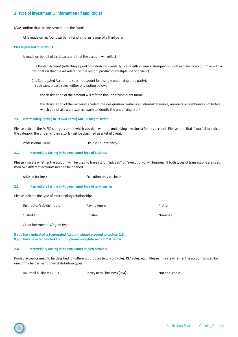# <span id="page-3-0"></span>**2. Type of investment & information (if applicable)**

I/we confirm that the investment into the Fund:

A) Is made on my/our own behalf and is not in favour of a third party

#### **Please proceed to section 3.**

Is made on behalf of third party and that the account will reflect:

 B) a Pooled Account (reflecting a pool of underlying clients typically with a generic designation such as "Clients account" or with a designation that makes reference to a region, product or multiple specific client)

 C) a Segregated Account (a specific account for a single underlying third party). In such case, please select either one option below:

the designation of the account will refer to the underlying client name

 the designation of the account is coded (the designation contains an internal reference, numbers or combination of letters which do not allow an external party to identify the underlying client)

#### **2.1. Intermediary (acting in its own name) MIFID Categorisation**

Please indicate the MIFID category under which you deal with the underlying investor(s) for this account. Please note that if you fail to indicate the category, the underlying investor(s) will be classified as a Retail Client.

Professional Client **Eligible Counterparty** 

#### **2.2. Intermediary (acting in its own name) Type of business**

Please indicate whether the account will be used to transact for "advised" or "execution-only" business. If both types of transactions are used, then two different accounts need to be opened.

Advised business Execution-only business

### **2.3. Intermediary (acting in its own name) Type of relationship**

Please indicate the type of intermediary relationship:

| Distributor/sub-distributor | Paying Agent | Platform |
|-----------------------------|--------------|----------|
| Custodian                   | Trustee      | Nominee  |

Other intermediary/agent type

**If you have indicated a Segregated Account, please proceed to section 2.5. If you have selected Pooled Account, please complete section 2.4 below.**

# **2.4. Intermediary (acting in its own name) Pooled accounts**

Pooled accounts need to be classified for different purposes (e.g. RDR Rules, RFA rules, etc.). Please indicate whether the account is used for one of the below mentioned distribution types:

UK Retail business (RDR) Jersey Retail business (RFA) Not applicable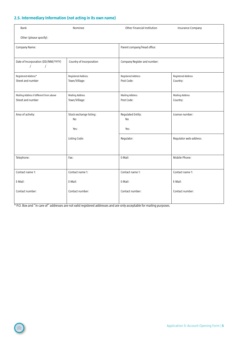# **2.5. Intermediary Information (not acting in its own name)**

| Bank                                                           | Nominee                  | <b>Other Financial Institution</b> | Insurance Company      |
|----------------------------------------------------------------|--------------------------|------------------------------------|------------------------|
| Other (please specify):                                        |                          |                                    |                        |
| Company Name:                                                  |                          | Parent company/Head office:        |                        |
|                                                                |                          |                                    |                        |
| Date of Incorporation (DD/MM/YYYY)<br>$\sqrt{2}$<br>$\sqrt{2}$ | Country of Incorporation | Company Register and number:       |                        |
| Registered Address*                                            | Registered Address       | Registered Address                 | Registered Address     |
| Street and number                                              | Town/Village:            | Post Code:                         | Country:               |
|                                                                |                          |                                    |                        |
| Mailing Address if different from above                        | <b>Mailing Address</b>   | <b>Mailing Address</b>             | <b>Mailing Address</b> |
| Street and number                                              | Town/Village:            | Post Code:                         | Country:               |
|                                                                |                          |                                    |                        |
| Area of activity:                                              | Stock exchange listing:  | Regulated Entity:                  | License number:        |
|                                                                | No                       | No                                 |                        |
|                                                                | Yes:                     | Yes:                               |                        |
|                                                                | Listing Code:            | Regulator:                         | Regulator web-address: |
|                                                                |                          |                                    |                        |
|                                                                |                          |                                    |                        |
| Telephone:                                                     | Fax:                     | E-Mail:                            | Mobile-Phone:          |
|                                                                |                          |                                    |                        |
| Contact name 1:                                                | Contact name 1:          | Contact name 1:                    | Contact name 1:        |
| E-Mail:                                                        | E-Mail:                  | E-Mail:                            | E-Mail:                |
| Contact number:                                                | Contact number:          | Contact number:                    | Contact number:        |
|                                                                |                          |                                    |                        |

\* P.O. Box and "in care of" addresses are not valid registered addresses and are only acceptable for mailing purposes.

 $\bigcirc$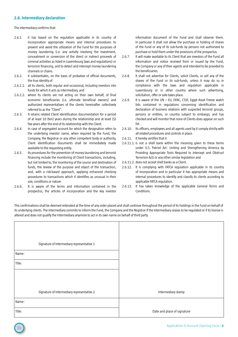# **2.6. Intermediary declaration**

The intermediary confirms that:

- 2.6.1. it has based on the regulation applicable in its country of incorporation appropriate means and internal procedures to prevent and avoid the utilization of the Fund for the purposes of money laundering (i.e. any activity involving the investment, concealment or conversion of the direct or indirect proceeds of criminal activities as listed in Luxembourg laws and regulations) or terrorism financing, and to detect and intercept money laundering channels or chains.
- 2.6.2. it substantiates, on the basis of probative of official documents, the true identity of
- 2.6.2.1. all its clients, both regular and occasional, including investors into funds for which it acts as intermediary, and
- 2.6.2.2. where its clients are not acting on their own behalf, of final economic beneficiaries (i.e. ultimate beneficial owners) and authorized representatives of the clients hereinafter collectively referred to as the "Client".
- 2.6.3. It retains related Client identification documentation for a period of at least 10 (ten) years during the relationship and at least (5) five years after the end of its relationship with the Client.
- 2.6.4. In case of segregated account for which the designation refers to the underlying investor name, when required by the Fund, the Company, the Registrar or any other competent body or authority, Client identification documents shall be immediately made available to the requesting entity.
- 2.6.5. Its procedures for the prevention of money laundering and terrorist financing include the monitoring of Client transactions, including, but not limited to, the monitoring of the source and destination of funds, the review of the purpose and object of the transaction, and, with a risk-based approach, applying enhanced checking procedures to transactions which it identifies as unusual in their size, conditions or nature.
- 2.6.6. It is aware of the terms and information contained in the prospectus, the articles of incorporation and the key investor

information document of the Fund and shall observe them. In particular it shall not allow the purchase or holding of shares of the Fund or any of its sub-funds by persons not authorized to purchase or hold them under the provisions of the prospectus.

- 2.6.7. It will make available to its Client that are investors of the Fund all information and notice received from or issued by the Fund, the Company or any of their agents and intended to be provided to the beneficiaries.
- 2.6.8. It shall not advertise for Clients, solicit Clients, or sell any of the shares of the Fund or its sub-funds, unless it may do so in compliance with the laws and regulation applicable in Luxembourg or in other country where such advertising, solicitation, offer or sale takes place.
- 2.6.9. It is aware of the UN EU, OFAC, CSSF, Egypt Asset Freeze watch lists contained in regulations concerning identification and declaration of business relations with suspected terrorist groups, persons or entities, or country subject to embargo, and has checked and will monitor that none of Clients does appear on such list.
- 2.6.10. Its officers, employees and all agents used by it comply strictly with all related procedures and controls in place.
- 2.6.11. It hereby certifies that it
- 2.6.11.1. is not a shell bank within the meaning given to these terms under U.S. Patriot Act: Uniting and Strengthening America by Providing Appropriate Tools Required to Intercept and Obstruct Terrorism Act) or any other similar legislation and
- 2.6.11.2. does not accept shell banks as a Client.
- 2.6.12. It is complying with FATCA regulation applicable in its country of incorporation and in particular it has appropriate means and internal procedures to identify and classify its clients according to applicable FATCA regulation.
- 2.6.13. It has taken knowledge of the applicable General Terms and Conditions.

This confirmations shall be deemed reiterated at the time of any order placed and shall continue throughout the period of its holdings in the Fund on behalf of its underlying clients. The Intermediary commits to inform the Fund, the Company and the Registrar if the Intermediary ceases to be regulated or if its license is altered and does not qualify the Intermediary anymore to act in its own name on behalf of third party.

| Signature of Intermediary representative 1 |                             |
|--------------------------------------------|-----------------------------|
| Name:                                      |                             |
| Title:                                     |                             |
|                                            |                             |
|                                            |                             |
| Signature of Intermediary representative 2 | Intermediary stamp          |
| Name:                                      |                             |
| Title:                                     | Date and place of signature |

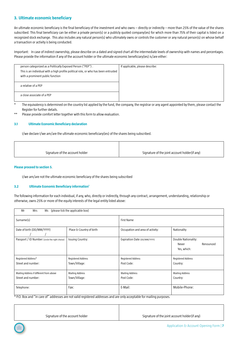# <span id="page-6-0"></span>**3. Ultimate economic beneficiary**

An ultimate economic beneficiary is the final beneficiary of the investment and who owns – directly or indirectly – more than 25% of the value of the shares subscribed. This final beneficiary can be either a private person(s) or a publicly quoted company(ies) for which more than 75% of their capital is listed on a recognized stock exchange. This also includes any natural person(s) who ultimately owns or controls the customer or any natural person(s) on whose behalf a transaction or activity is being conducted.

Important: In case of indirect ownership, please describe on a dated and signed chart all the intermediate levels of ownership with names and percentages. Please provide the information if any of the account holder or the ultimate economic beneficiary(ies) is/are either:

| person categorized as a Politically Exposed Person ("PEP").<br>This is an individual with a high profile political role, or who has been entrusted<br>with a prominent public function | If applicable, please describe: |
|----------------------------------------------------------------------------------------------------------------------------------------------------------------------------------------|---------------------------------|
| a relative of a PEP                                                                                                                                                                    |                                 |
| a close associate of a PEP                                                                                                                                                             |                                 |

\* The equivalency is determined on the country list applied by the fund, the company, the registrar or any agent appointed by them, please contact the Register for further details.

Please provide comfort letter together with this form to allow evaluation.

# **3.1 Ultimate Economic Beneficiary declaration**

I/we declare I/we am/are the ultimate economic beneficiary(ies) of the shares being subscribed.

| Signature of the account holder | Signature of the joint account holder (if any) |
|---------------------------------|------------------------------------------------|

# **Please proceed to section 5**.

I/we am/are not the ultimate economic beneficiary of the shares being subscribed

# **3.2 Ultimate Economic Beneficiary information1**

The following information for each individual, if any, who, directly or indirectly, through any contract, arrangement, understanding, relationship or otherwise, owns 25% or more of the equity interests of the legal entity listed above:

| (please tick the applicable box)<br>Mrs<br>Mr<br>Ms           |                                            |                                      |                                                          |
|---------------------------------------------------------------|--------------------------------------------|--------------------------------------|----------------------------------------------------------|
| Surname(s)                                                    |                                            | First Name                           |                                                          |
| Date of birth (DD/MM/YYYY)                                    | Place & Country of birth                   | Occupation and area of activity:     | Nationality                                              |
| Passport / ID Number: (circle the right choice)               | <b>Issuing Country:</b>                    | Expiration Date (DD/MM/YYYY)         | Double Nationality:<br>Renounced<br>Never<br>Yes, which: |
| Registered Address*<br>Street and number:                     | <b>Registered Address</b><br>Town/Village: | Registered Address<br>Post Code:     | Registered Address<br>Country:                           |
| Mailing Address if different from above<br>Street and number: | <b>Mailing Address</b><br>Town/Village:    | <b>Mailing Address</b><br>Post Code: | <b>Mailing Address</b><br>Country:                       |
| Telephone:                                                    | Fax:                                       | E-Mail:                              | Mobile-Phone:                                            |

 $*$  P.O. Box and "in care of" addresses are not valid registered addresses and are only acceptable for mailing purposes.

Signature of the account holder Signature of the joint account holder (if any)

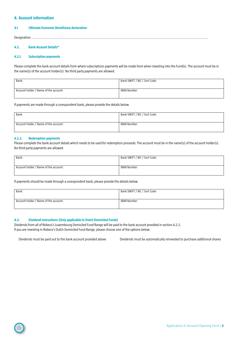# <span id="page-7-0"></span>**4. Account information**

# **4.1 Ultimate Economic Beneficiary declaration**

Designation: …………………………………….…………………………………….………………………………………………………………………….……………………………………

# **4.2. Bank Account Details\***

# **4.2.1. Subscription payments**

Please complete the bank account details from where subscriptions payments will be made from when investing into the Fund(s). The account must be in the name(s) of the account holder(s). No third party payments are allowed.

| Bank:                                 | Bank SWIFT / BIC / Sort Code: |
|---------------------------------------|-------------------------------|
|                                       |                               |
| Account holder / Name of the account: | IBAN Number                   |
|                                       |                               |

If payments are made through a corespondent bank, please provide the details below.

| Bank:                                 | Bank SWIFT / BIC / Sort Code: |
|---------------------------------------|-------------------------------|
|                                       |                               |
| Account holder / Name of the account: | IBAN Number                   |
|                                       |                               |

# **4.2.2. Redemption payments**

Please complete the bank account details which needs to be used for redemption proceeds. The account must be in the name(s) of the account holder(s). No third party payments are allowed.

| Bank:                                 | Bank SWIFT / BIC / Sort Code: |
|---------------------------------------|-------------------------------|
| Account holder / Name of the account: | IBAN Number                   |

If payments should be made through a corespondent bank, please provide the details below.

| Bank:                                 | Bank SWIFT / BIC / Sort Code: |
|---------------------------------------|-------------------------------|
| Account holder / Name of the account: | <b>IBAN Number</b>            |

# **4.3. Dividend instructions (Only applicable to Dutch Domiciled Funds)**

Dividends from all of Robeco's Luxembourg Domiciled Fund Range will be paid to the bank account provided in section 4.2.2. If you are investing in Robeco's Dutch Domiciled Fund Range, please choose one of the options below:

Dividends must be paid out to the bank account provided above Dividends must be automatically reinvested to purchase additional shares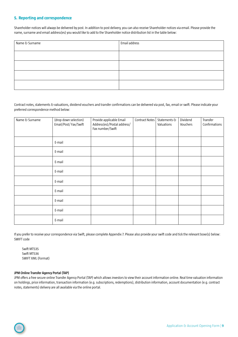# <span id="page-8-0"></span>**5. Reporting and correspondence**

Shareholder notices will always be delivered by post. In addition to post delivery, you can also receive Shareholder notices via email. Please provide the name, surname and email address(es) you would like to add to the Shareholder notice distribution list in the table below:

| Name & Surname | Email address |
|----------------|---------------|
|                |               |
|                |               |
|                |               |
|                |               |
|                |               |

Contract notes, statements & valuations, dividend vouchers and transfer confirmations can be delivered via post, fax, email or swift. Please indicate your preferred correspondence method below:

| Name & Surname | (drop down selection)<br>Email/Post/Fax/Swift | Provide applicable Email<br>Address(es)/Postal address/<br>Fax number/Swift | <b>Contract Notes</b> | Statements &<br>Valuations | Dividend<br>Vouchers | Transfer<br>Confirmations |
|----------------|-----------------------------------------------|-----------------------------------------------------------------------------|-----------------------|----------------------------|----------------------|---------------------------|
|                | E-mail                                        |                                                                             |                       |                            |                      |                           |
|                | E-mail                                        |                                                                             |                       |                            |                      |                           |
|                | E-mail                                        |                                                                             |                       |                            |                      |                           |
|                | E-mail                                        |                                                                             |                       |                            |                      |                           |
|                | E-mail                                        |                                                                             |                       |                            |                      |                           |
|                | E-mail                                        |                                                                             |                       |                            |                      |                           |
|                | E-mail                                        |                                                                             |                       |                            |                      |                           |
|                | E-mail                                        |                                                                             |                       |                            |                      |                           |
|                | E-mail                                        |                                                                             |                       |                            |                      |                           |

If you prefer to receive your correspondence via Swift, please complete Appendix 7. Please also provide your swift code and tick the relevant boxe(s) below: SWIFT code

Swift MT535 Swift MT536 SWIFT XML (Format)

# **JPM Online Transfer Agency Portal (TAP)**

JPM offers a free secure online Transfer Agency Portal (TAP) which allows investors to view their account information online. Real time valuation information on holdings, price information, transaction information (e.g. subscriptions, redemptions), distribution information, account documentation (e.g. contract notes, statements) delivery are all available via the online portal.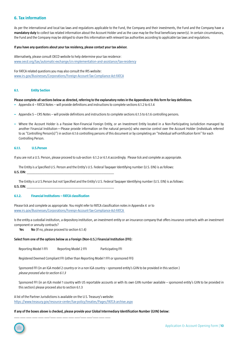# <span id="page-9-0"></span>**6. Tax information**

As per the international and local tax laws and regulations applicable to the Fund, the Company and their investments, the Fund and the Company have a **mandatory duty** to collect tax related information about the Account Holder and as the case may be the final beneficiary owner(s). In certain circumstances, the Fund and the Company may be obliged to share this information with relevant tax authorities according to applicable tax laws and regulations.

### **If you have any questions about your tax residency, please contact your tax advisor.**

Alternatively, please consult OECD website to help determine your tax residence: [www.oecd.org/tax/automatic-exchange/crs-implementation-and-assistance/tax-residency](http://www.oecd.org/tax/automatic-exchange/crs-implementation-and-assistance/tax-residency)

For FATCA related questions you may also consult the IRS website: [www.irs.gov/Businesses/Corporations/Foreign-Account-Tax-Compliance-Act-FATCA](http://www.irs.gov/Businesses/Corporations/Foreign-Account-Tax-Compliance-Act-FATCA)

### **6.1. Entity Section**

**Please complete all sections below as directed, referring to the explanatory notes in the Appendices to this form for key definitions.**

- **–** Appendix 4 FATCA Notes will provide definitions and instructions to complete sections 6.1.2 to 6.1.4
- **–** Appendix 5 CRS Notes will provide definitions and instructions to complete sections 6.1.5 to 6.1.6 controlling persons.
- **–** Where the Account Holder is a Passive Non-Financial Foreign Entity, or an Investment Entity located in a Non-Participating Jurisdiction managed by another Financial Institution—Please provide information on the natural person(s) who exercise control over the Account Holder (individuals referred to as "Controlling Person(s)") in section 6.1.6 controlling persons of this document or by completing an "Individual self-certification form" for each Controlling Person.

### **6.1.1. U.S.Person**

If you are not a U.S. Person, please proceed to sub-section 6.1.2 or 6.1.4 accordingly. Please tick and complete as appropriate.

The Entity is a Specified U.S. Person and the Entity's U.S. Federal Taxpayer Identifying number (U.S. EIN) is as follows: **U.S. EIN:** \_\_\_\_\_\_\_\_\_\_\_\_\_\_\_\_\_\_\_\_\_\_\_\_\_\_\_\_\_\_\_\_\_\_\_\_\_\_\_\_\_\_\_\_\_\_\_\_\_

The Entity is a U.S.Person but not Specified and the Entity's U.S. Federal Taxpayer Identifying number (U.S. EIN) is as follows: **U.S. EIN:** \_\_\_\_\_\_\_\_\_\_\_\_\_\_\_\_\_\_\_\_\_\_\_\_\_\_\_\_\_\_\_\_\_\_\_\_\_\_\_\_\_\_\_\_\_\_\_\_\_

# **6.1.2. Financial Institutions – FATCA classification**

Please tick and complete as appropriate. You might refer to FATCA classification notes in Appendix 4 or to [www.irs.gov/Businesses/Corporations/Foreign-Account-Tax-Compliance-Act-FATCA](http://www.irs.gov/Businesses/Corporations/Foreign-Account-Tax-Compliance-Act-FATCA ) 

Is the entity a custodial institution, a depository institution, an investment entity or an insurance company that offers insurance contracts with an investment component or annuity contracts?

 **Yes No** (If no, please proceed to section 6.1.4)

# **Select from one of the options below as a Foreign (Non-U.S.) Financial Institution (FFI):**

Reporting Model 1 FFI Reporting Model 2 FFI Participating FFI

Registered Deemed Compliant FFI (other than Reporting Model 1 FFI or sponsored FFI)

Sponsored FFI (in an IGA model 2 country or in a non IGA country – sponsored entity's GIIN to be provided in this section ) please proceed also to section 6.1.3

Sponsored FFI (in an IGA model 1 country with US reportable accounts or with its own GIIN number available – sponsored entity's GIIN to be provided in this section) please proceed also to section 6.1.3

A list of the Partner Jurisdictions is available on the U.S. Treasury's website: https://www.treasury.gov/resource-center/tax-policy/treaties/Pages/FATCA-archive.aspx

#### **If any of the boxes above is checked, please provide your Global Intermediary Identification Number (GIIN) below:**

\_\_\_ \_\_\_ \_\_\_ \_\_\_ \_\_\_ \_\_\_.\_\_\_ \_\_\_ \_\_\_ \_\_\_ \_\_\_.\_\_\_ \_\_\_.\_\_\_ \_\_\_ \_\_\_

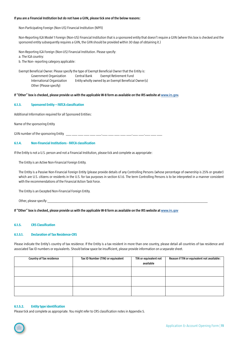## **If you are a Financial Institution but do not have a GIIN, please tick one of the below reasons:**

Non-Participating Foreign (Non-US) Financial Institution (NPFI)

Non-Reporting IGA Model 1 Foreign (Non-US) Financial Institution that is a sponsored entity that doesn't require a GIIN (where this box is checked and the sponsored entity subsequently requires a GIIN, the GIIN should be provided within 30 days of obtaining it.)

Non-Reporting IGA Foreign (Non-US) Financial Institution. Please specify:

a. The IGA country:

b. The Non- reporting category applicable:

Exempt Beneficial Owner. Please specify the type of Exempt Beneficial Owner that the Entity is: Government Organization Central Bank Exempt Retirement Fund International Organization Entity wholly owned by an Exempt Beneficial Owner(s) Other (Please specify)

**If "Other" box is checked, please provide us with the applicable W-8 form as available on the IRS website at [www.irs.gov](http://www.irs.gov).**

### **6.1.3. Sponsored Entity – FATCA classification**

Additional Information required for all Sponsored Entities:

Name of the sponsoring Entity

GIIN number of the sponsoring Entity \_\_\_ \_\_\_ \_\_\_ \_\_\_ \_\_\_ \_\_\_.\_\_\_ \_\_\_ \_\_\_ \_\_\_ \_\_\_.\_\_\_ \_\_\_.\_\_\_ \_\_\_ \_\_\_

# **6.1.4. Non-Financial Institutions - FATCA classification**

If the Entity is not a U.S. person and not a Financial Institution, please tick and complete as appropriate:

The Entity is an Active Non-Financial Foreign Entity.

The Entity is a Passive Non-Financial Foreign Entity (please provide details of any Controlling Persons (whose percentage of ownership is 25% or greater) which are U.S. citizens or residents in the U.S. for tax purposes in section 6.1.6. The term Controlling Persons is to be interpreted in a manner consistent with the recommendations of the Financial Action Task Force.

The Entity is an Excepted Non-Financial Foreign Entity.

Other, please specify:

**If "Other" box is checked, please provide us with the applicable W-8 form as available on the IRS website at [www.irs.gov](http://www.irs.gov )**

#### **6.1.5. CRS Classification**

# **6.1.5.1. Declaration of Tax Residence-CRS**

Please indicate the Entity's country of tax residence. If the Entity is a tax resident in more than one country, please detail all countries of tax residence and associated Tax ID numbers or equivalents. Should below space be insufficient, please provide information on a separate sheet.

| <b>Country of Tax residence</b> | Tax ID Number (TIN) or equivalent | TIN or equivalent not<br>available | Reason if TIN or equivalent not available: |
|---------------------------------|-----------------------------------|------------------------------------|--------------------------------------------|
|                                 |                                   |                                    |                                            |
|                                 |                                   |                                    |                                            |
|                                 |                                   |                                    |                                            |

# **6.1.5.2. Entity type identification**

Please tick and complete as appropriate. You might refer to CRS classification notes in Appendix 5.

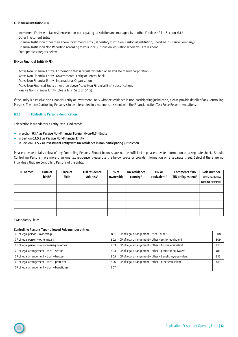# **I- Financial Institution (FI)**

Investment Entity with tax residence in non-participating jurisdiction and managed by another FI (please fill in Section 6.1.6) Other Investment Entity Financial Institution other than above Investment Entity (Depositary Institution, Custodial Institution, Specified Insurance Company)0 Financial Institution Non Reporting according to your local jurisdiction legislation where you are resident Enter precise category below :

#### **II- Non Financial Entity (NFE)**

Active Non Financial Entity - Corporation that is regularly traded or an affiliate of such corporation Active Non Financial Entity - Governmental Entity or Central bank Active Non Financial Entity - International Organisation Active Non-Financial Entity other than above Active Non Financial Entity classifications

Passive Non-Financial Entity (please fill in Section 6.1.5)

If the Entity is a Passive Non-Financial Entity or Investment Entity with tax residence in non-participating jurisdiction, please provide details of any Controlling Persons. The term Controlling Persons is to be interpreted in a manner consistent with the Financial Action Task Force Recommendations.

#### **6.1.6. Controlling Persons identification**

This section is mandatory if Entity Type is indicated:

- **–** In section **6.1.4** as **Passive Non-Financial Foreign (Non-U.S.) Entity**
- **–** In Section **6.1.5.2** as **Passive Non-Financial Entity**
- **–** In Section **6.1.5.2** as **Investment Entity with tax residence in non-participating jurisdiction**

Please provide details below of any Controlling Persons. Should below space not be sufficient – please provide information on a separate sheet. Should Controlling Persons have more than one tax residence, please use the below space or provide information on a separate sheet. Select if there are no Individuals that are Controlling Persons of the Entity.

| Full name* | Date of | <b>Place of</b> | <b>Full residence</b> | % of      | Tax residence | TIN or      | Comments if no     | Role number          |
|------------|---------|-----------------|-----------------------|-----------|---------------|-------------|--------------------|----------------------|
|            | birth*  | Birth           | Address*              | ownership | country*      | equivalent* | TIN or Equivalent* | (please see below    |
|            |         |                 |                       |           |               |             |                    | table for reference) |
|            |         |                 |                       |           |               |             |                    |                      |
|            |         |                 |                       |           |               |             |                    |                      |
|            |         |                 |                       |           |               |             |                    |                      |
|            |         |                 |                       |           |               |             |                    |                      |
|            |         |                 |                       |           |               |             |                    |                      |
|            |         |                 |                       |           |               |             |                    |                      |
|            |         |                 |                       |           |               |             |                    |                      |

\* Mandatory Fields

# **Controlling Persons Type - allowed Role number entries:**

| $ CP$ of legal person $-$ ownership                  | 801 | $ CP$ of legal arrangement $-$ trust $-$ other              | 808 |
|------------------------------------------------------|-----|-------------------------------------------------------------|-----|
| $ CP$ of legal person – other means                  | 802 | $ CP$ of legal arrangement – other – settlor-equivalent     | 809 |
| CP of legal person - senior managing official        | 803 | $ CP$ of legal arrangement – other – trustee-equivalent     | 810 |
| $ CP$ of legal arrangement - trust - settlor         | 804 | $ CP$ of legal arrangement – other – protector-equivalent   | 811 |
| $ CP$ of legal arrangement – trust – trustee         | 805 | $ CP$ of legal arrangement – other – beneficiary-equivalent | 812 |
| $ CP$ of legal arrangement - trust - protector       | 806 | $ CP$ of legal arrangement – other – other-equivalent       | 813 |
| $ CP$ of legal arrangement $-$ trust $-$ beneficiary | 807 |                                                             |     |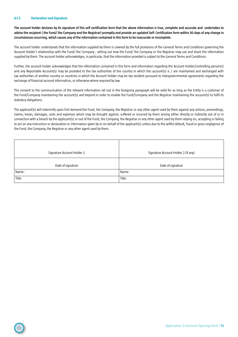### **6.1.7. Declaration and Signature**

**The account holder declares by its signature of this self certification form that the above information is true, complete and accurate and undertakes to advise the recipient ( the Fund/ the Company and the Registrar) promptly and provide an updated Self- Certification form within 30 days of any change in circumstances occurring, which causes any of the information contained in this form to be inaccurate or incomplete.**

The account holder understands that the information supplied by them is covered by the full provisions of the General Terms and Conditions governing the Account Holder's relationship with the Fund/ the Company , setting out how the Fund/ the Company or the Registrar may use and share the information supplied by them. The account holder acknowledges, in particular, that the information provided is subject to the General Terms and Conditions.

Further, the account holder acknowledges that the information contained in this form and information regarding the Account Holder/controlling person(s) and any Reportable Account(s) may be provided to the tax authorities of the country in which this account(s) is / are maintained and exchanged with tax authorities of another country or countries in which the Account Holder may be tax resident pursuant to intergovernmental agreements regarding the exchange of financial account information, or otherwise where required by law.

The consent to the communication of the relevant information set out in the foregoing paragraph will be valid for as long as the Entity is a customer of the Fund/Company maintaining the account(s) and beyond in order to enable the Fund/Company and the Registrar maintaining the account(s) to fulfil its statutory obligations.

The applicant(s) will indemnify upon first demand the Fund, the Company, the Registrar or any other agent used by them against any actions, proceedings, claims, losses, damages, costs and expenses which may be brought against, suffered or incurred by them arising either directly or indirectly out of or in connection with a breach by the applicant(s) or out of the Fund, the Company, the Registrar or any other agent used by them relying on, accepting or failing to act on any instruction or declaration or information given by or on behalf of the applicant(s) unless due to the willful default, fraud or gross negligence of the Fund, the Company, the Registrar or any other agent used by them.

| Signature Account Holder 1 | Signature Account Holder 2 (if any) |
|----------------------------|-------------------------------------|
| Date of signature          | Date of signature                   |
| Name:                      | Name:                               |
| Title:                     | Title:                              |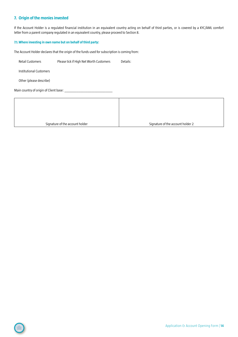# <span id="page-13-0"></span>**7. Origin of the monies invested**

If the Account Holder is a regulated financial institution in an equivalent country acting on behalf of third parties, or is covered by a KYC/AML comfort letter from a parent company regulated in an equivalent country, please proceed to Section 8.

# **7.1.Where investing in own name but on behalf of third party:**

The Account Holder declares that the origin of the funds used for subscription is coming from:

Retail Customers Please tick if High Net Worth Customers Details:

Institutional Customers

Other (please describe)

Main country of origin of Client base: \_\_\_\_\_\_\_\_\_\_\_\_\_\_\_\_\_\_\_\_\_\_\_\_\_\_\_

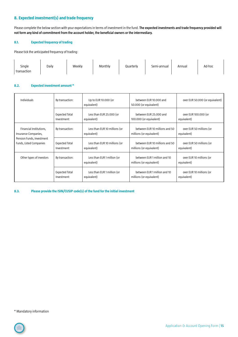# <span id="page-14-0"></span>**8. Expected investment(s) and trade frequency**

Please complete the below section with your expectations in terms of investment in the fund. **The expected investments and trade frequency provided will not form any kind of commitment from the account holder, the beneficial owners or the intermediary.** 

# **8.1. Expected frequency of trading**

Please tick the anticipated frequency of trading:

| Single<br>transaction | Daily | Weekly | Monthly | Quarterly | Semi-annual | Annual | Ad-hoc |
|-----------------------|-------|--------|---------|-----------|-------------|--------|--------|
|                       |       |        |         |           |             |        |        |

# **8.2. Expected investment amount \***

| <b>Individuals</b>        | By transaction:       | Up to EUR 10.000 (or<br>equivalent)        | between EUR 10.000 and<br>50.000 (or equivalent)         | over EUR 50.000 (or equivalent)         |
|---------------------------|-----------------------|--------------------------------------------|----------------------------------------------------------|-----------------------------------------|
|                           | <b>Expected Total</b> | Less than EUR 25.000 (or                   | between EUR 25,000 and                                   | over EUR 100,000 (or                    |
|                           | Investment:           | equivalent)                                | 100.000 (or equivalent)                                  | equivalent)                             |
| Financial Institutions,   | By transaction:       | Less than EUR 10 millions (or              | between EUR 10 millions and 50                           | over EUR 50 millions (or                |
| Insurance Companies,      |                       | equivalent)                                | millions (or equivalent)                                 | equivalent)                             |
| Pension Funds, Investment | <b>Expected Total</b> | Less than EUR 10 millions (or              | between EUR 10 millions and 50                           | over EUR 50 millions (or                |
| Funds, Listed Companies   | Investment:           | equivalent)                                | millions (or equivalent)                                 | equivalent)                             |
| Other types of investors  | By transaction:       | Less than EUR 1 million (or<br>equivalent) | between EUR 1 million and 10<br>millions (or equivalent) | over EUR 10 millions (or<br>equivalent) |
|                           | <b>Expected Total</b> | Less than EUR 1 million (or                | between EUR 1 million and 10                             | over EUR 10 millions (or                |
|                           | Investment:           | equivalent)                                | millions (or equivalent)                                 | equivalent)                             |

**8.3. Please provide the ISIN/CUSIP code(s) of the fund for the initial investment**

\* Mandatory information

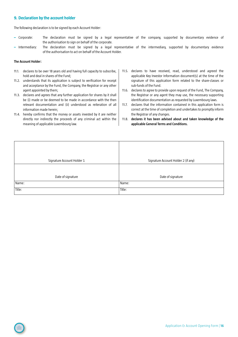# <span id="page-15-0"></span>**9. Declaration by the account holder**

The following declaration is to be signed by each Account Holder:

- **–** Corporate: The declaration must be signed by a legal representative of the company, supported by documentary evidence of the authorisation to sign on behalf of the corporate.
- **–** Intermediary: The declaration must be signed by a legal representative of the intermediary, supported by documentary evidence of the authorisation to act on behalf of the Account Holder.

### **The Account Holder:**

- 11.1. declares to be over 18 years old and having full capacity to subscribe, hold and deal in shares of the Fund;
- 11.2. understands that its application is subject to verification for receipt and acceptance by the Fund, the Company, the Registrar or any other agent appointed by them;
- 11.3. declares and agrees that any further application for shares by it shall be (i) made or be deemed to be made in accordance with the then relevant documentation and (ii) understood as reiteration of all information made herein;
- 11.4. hereby confirms that the money or assets invested by it are neither directly nor indirectly the proceeds of any criminal act within the meaning of applicable Luxembourg law.
- 11.5. declares to have received, read, understood and agreed the applicable Key Investor Information document(s) at the time of the signature of this application form related to the share-classes or sub-funds of the Fund.
- 11.6. declares to agree to provide upon request of the Fund, The Company, the Registrar or any agent they may use, the necessary supporting identification documentation as requested by Luxembourg laws.
- 11.7. declares that the information contained in this application form is correct at the time of completion and undertakes to promptly inform the Registrar of any changes.
- 11.8. **declares it has been advised about and taken knowledge of the applicable General Terms and Conditions.**

| Signature Account Holder 1 | Signature Account Holder 2 (if any) |
|----------------------------|-------------------------------------|
|                            |                                     |
|                            |                                     |
| Date of signature          | Date of signature                   |
| Name:                      | Name:                               |
| Title:                     | Title:                              |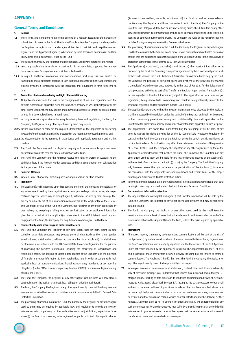# <span id="page-16-0"></span>**APPENDIX 1**

### **General Terms and Conditions**

- **1. General**
- **1.1.** These Terms and Conditions relate to the opening of a register account for the purposes of subscription of shares in the Fund. The Fund – if applicable – the Company has delegated to the Registrar the registrar and transfer agent duties. i.e. to maintain and keep the investors register - and the Applicant(s) agree(s) to be bound by these Terms and Conditions in addition to any other official documents issued by the Fund.
- **1.2.** The Fund, the Company, the Registrar or any other agent used by them reserves the right to
- **1.2.1.** reject any application in whole or in part which is not complete, supported by required documentation or for any other reason at their sole discretion.
- **1.2.2.** to request additional information and documentation, including, but not limited to, translations and certifications relating to such additional requests from the Applicant(s) and existing investors in compliance with the legislation and regulations in force from time to time.

#### **2. Prevention of Money Laundering and fight of terrorist financing**

- **2.1.** All Applicants understand that due to the changing nature of laws and regulations and the possible extensions of applicable rules, the Fund, the Company, as well as the Registrar or any other agent used by them may update and amend its procedures as might be required from time to time to comply with such amendments.
- **2.2.** In compliance with applicable anti-money laundering laws and regulations, the Fund, the Company, the Registrar or any other agent used by them may require.
- **2.2.1.** further information to carry out the required identification of the Applicants or an existing investor before the application can be processed or the redemption proceeds paid out; and
- **2.2.2.** the documentation to be renewed in accordance with applicable regulation and market practice.
- **2.3.** The Fund, the Company and the Registrar may agree to open accounts upon electronic documentation only to ease the timely subscription to the Fund.
- **2.4.** The Fund, the Company and the Registrar reserve the right to charge an Account Holder additional fees, if the Account Holder generates additional costs through non-collaboration for the purposes of this clause.

#### **3. Power of Attorney**

**3.1.** Where a Power of Attorney Form is required, an original version must be provided.

#### **4. Indemnity**

**4.1.** The Applicant(s) will indemnify upon first demand the Fund, the Company, the Registrar or any other agent used by them against any actions, proceedings, claims, losses, damages, costs and expenses which may be brought against, suffered or incurred by them arising either directly or indirectly out of or in connection with a breach by the Applicant(s) of these Terms and Conditions or out of the Fund, the Company, the Registrar or any other agent used by them relying on, accepting or failing to act on any instruction or declaration or information given by or on behalf of the Applicant(s) unless due to the willful default, fraud or gross negligence of the Fund, the Company, the Registrar or any other agent used by them.

#### **5. Confidentiality, data processing and professional secrecy**

- **5.1.** The Fund, the Company, the Registrar or any other agent used by them, acting as data controller or as data processor, may process personal data (such as the name, gender, e-mail address, postal address, address, account number) from Applicant(s) in digital form or otherwise in accordance with the EU General Data Protection Regulation for the purpose of managing the business relationship, including the processing of subscriptions and redemption orders, the keeping of shareholders' register of the Company and the provision of financial and other information to the shareholders, and in order to comply with their applicable legal or regulatory obligations, including anti-money laundering or tax reporting obligations (under FATCA, common reporting standard ("CRS") or equivalent legislation e.g. at OECD or EU level).
- **5.2.** The Fund, the Company, the Registrar or any other agent used by them will only process personal data on the basis of a contract, legal obligation or legitimate interest.
- **5.3.** The Fund, the Company, the Registrar or any other agent used by them will hold any personal information provided by investors in confidence and in accordance with the EU General Data Protection Regulation.
- **5.4.** The processing of personal data by the Fund, the Company, the Registrar or any other agent used by them may be required by applicable laws and regulation to provide the Investor Information to tax, supervisory or other authorities in various jurisdictions, in particular those where (i) the Fund is or is seeking to be registered for public or limited offering of its shares,

(ii) investors are resident, domiciled or citizens, (iii) the Fund, as well as, where relevant the Company, the Registrar and those companies to which the Fund, the Company or the Registrar (sub-)delegate distribution or investor servicing duties, the distributors or any other service providers such as representatives or third-party agents is or is seeking to be registered, licensed or otherwise authorised to invest. The Company, the Fund or the Registrar shall not be liable for any consequences resulting from such disclosure.

- **5.5.** The processing of personal data by the Fund, the Company, the Registrar or any other agent used by them can imply the transfer to and processing of personal data by affiliated persons or entities that are established in countries outside of the European Union. In this case, a level of protection comparable to that offered by EU laws will be aimed for.
- **5.6.** The Applicant(s) mandate(s), authorize(s) and instruct(s) the Investor Information to be disclosed by the Fund, the Company, or any other agent used by them to external parties such as the Fund's sponsor, the Fund's Authorized Distributors or as deemed necessary by the Fund, the Company, the Registrar or any other agent used by them for the provision of enhanced shareholders' related services and, particularly in the case of Registrar, for the delegation of data processing activities as part of its Transfer and Registrar Agent duties. The Applicant(s) further agree(s) to Investor Information (subject to the application of local laws and/or regulations) being used outside Luxembourg, and therefore being potentially subject to the scrutiny of regulatory and tax authorities outside Luxembourg.
- **5.7.** The Applicant(s) is/are aware that the Investor Information, once disclosed by the Registrar shall be processed by the recipient under the control of the Registrar and shall not be subject to the Luxembourg professional secrecy and confidentiality standards applicable to the Registrar but to professional secrecy and confidentiality standards applicable to such recipient.
- **5.8.** The Applicant(s) is/are aware that, notwithstanding the foregoing, it will be able, at any time, to exercise his rights provided for by the EU General Data Protection Regulation by contacting the Fund, the Company or the Registrar using the contact details mentioned on this Application Form. As such action may affect the existence or continuation of the provision of services by the Fund, the Company, the Registrar or any other agent used by them, the Applicant(s) acknowledge(s) that neither the Fund, the Company, the Registrar nor any other agent used by them will be liable for any loss or damage incurred by the Applicant(s) in the context of such action according to (i) to (iv) by the Company. The Fund, the Company, will, however reserve the right to redeem the participation of the Applicant(s) to ensure full compliance with the applicable laws and regulations and remain liable for the proper handling and fulfillment of its data protection duties.
- **5.9.** In connection with personal data, the Applicant shall inform any relevant individual that data relating to them may be shared as described in this General Terms and Conditions.

#### **6. Document and information retention**

- **6.1.** The Applicant(s) acknowledge(s) and agree(s) that Investor Information will be held by the Fund, the Company, the Registrar or any other agent used by them and may be subject to data processing.
- **6.2.** The Fund, the Company, the Registrar or any other agent used by them will keep the Investor Information at least 10 years during the relationship and 5 years after the end of the relationship between the Applicant(s) and the Fund, unless otherwise required by applicable laws.

#### **7. Instructions**

- **7.1.** All notices, reports, statements, documents and communications will be sent at the risk of the Applicant(s) by ordinary mail or where otherwise specified by Luxembourg legislation or the Fund's constitutional documents, by registered mail to the address of the First Applicant unless otherwise specified by the Applicant(s) in writing. The Applicant(s) assume(s) all risks and in particular those arising from delays in delivery including but not limited to errors in communication. The Applicant(s) hold(s) harmless the Fund, the Company, the Registrar or any other agent used by them of all responsibility in this respect.
- **7.2.** Where you have opted to receive account statements, contract notes and dividend advices by way of electronic message, you understand that Robeco has instructed and authorised J.P. Morgan Bank SE (acting as data processor) to send such documentation by way of electronic message via its agent, Victor Buck Services S.A. (acting as sub-data processor) to your email address or the email address of your financial adviser that you have supplied above. You further accept that email communication is not a secure medium or error free, privacy cannot be assured and that emails can contain viruses or other defects and may be delayed. Neither Robeco, J.P. Morgan Bank SE nor its agent Victor Buck Services S.A. will be responsible for any such occurrences nor for any damages you may suffer by transmitting personal or confidential information to you as requested. You further agree that the sender may monitor, record, transfer cross border and retain electronic messages.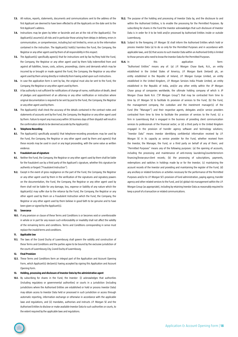- **7.3.** All notices, reports, statements, documents and communications sent to the address of the first Applicant are deemed to have been effected to all the Applicants on the date sent to the first Applicant's address.
- **7.4.** Instructions may be given by letter or facsimile and are at the risk of the Applicant(s). The Applicant(s) assume(s) all risks and in particular those arising from delays in delivery, errors in communication, or comprehension, including but not limited to, errors as to the information contained in the instruction. The Applicant(s) hold(s) harmless the Fund, the Company, the Registrar or any other agent used by them of all responsibility in this respect.
- **7.5.** The Applicant(s) specifically agree(s) that for instructions sent by fax he/they hold the Fund, the Company, the Registrar or any other agent used by them fully indemnified from and against all liabilities, losses, costs, actions, proceedings, claims and demands which may be incurred by or brought or made against the Fund, the Company, the Registrar or any other agent used by them arising directly or indirectly from having acted upon such instructions.
- **7.6.** In case the application form is sent by fax, the original must also be sent to the Fund, the Company, the Registrar or any other agent used by them.
- **7.7.** A fax authority is not sufficient for notifications of change of name, notification of death, deed of pledges and appointment of an attorney or any other notification or instruction where original documentation is required to be sent by post to the Fund, the Company, the Registrar or any other agent used by them.
- **7.8.** The Applicant(s) shall check the accuracy of the details contained in the contract notes and statements of accounts sent by the Fund, the Company, the Registrar or any other agent used by them. Failure to report any inaccuracy within 30 business days of their dispatch will result in the confirmation details to be deemed accurate by the Applicant(s).

#### **8. Telephone Recording**

8.1. The Applicant(s) specifically accept(s) that telephone-recording procedures may be used by the Fund, the Company, the Registrar or any other agent used by them and agree(s) that these records may be used in court or any legal proceeding, with the same value as written evidence.

#### **9. Fraudulent use of signature**

- **9.1.** Neither the Fund, the Company, the Registrar or any other agent used by them shall be liable for the fraudulent use by a third party of the Applicant's signature, whether this signature be authentic or forged ("Fraudulent Instruction").
- **9.2.** Except in the event of gross negligence on the part of the Fund, the Company, the Registrar or any other agent used by them in the verification of the signatures and signatory powers on the documentation, the Fund, the Company, the Registrar or any other agent used by them shall not be liable for any damage, loss, expense or liability of any nature which the Applicant(s) may suffer due to the reliance by the Fund, the Company, the Registrar or any other agent used by them on a Fraudulent Instruction which the Fund, the Company, the Registrar or any other agent used by them believe in good faith to be genuine and to have been given or signed by the Applicant(s).

#### **10. Severance**

**10.1.** If any provision or clause of these Terms and Conditions is or becomes void or unenforceable in whole or in part for any reason such enforceability or invalidity shall not affect the validity of the remaining terms and conditions. Terms and Conditions corresponding in sense must replace the invalid terms and conditions.

#### **11. Applicable law**

**11.1.** The laws of the Grand Duchy of Luxembourg shall govern the validity and construction of these Terms and Conditions and the parties agree to be bound by the exclusive jurisdiction of the courts of Luxembourg City, Grand Duchy of Luxembourg.

#### **12. Final Provision**

**12.1.** These Terms and Conditions form an integral part of the Application and Account Opening Form, which Applicant(s) declare(s) having accepted by signing this Application and Account Opening Form.

#### **13. Holding, processing and disclosure of Investor Data by the administrative agent**

**13.1.** By subscribing for shares in the Fund, the Investor: (i) acknowledges that authorities (including regulatory or governmental authorities) or courts in a jurisdiction (including jurisdictions where the Authorised Entities are established or hold or process Investor Data) may obtain access to Investor Data held or processed in such jurisdiction or access through automatic reporting, information exchange or otherwise in accordance with the applicable laws and regulations, and (ii) mandates, authorises and instructs J.P. Morgan SE and the Authorised Entities to disclose or make available Investor Data to such authorities or courts, to the extent required by the applicable laws and regulations.

- **13.2.** The purpose of the holding and processing of Investor Data by, and the disclosure to and within the Authorised Entities, is to enable the processing for the Permitted Purposes. By subscribing for shares in the Fund the Investor acknowledges that such disclosure of Investor Data is in order for it to be held and/or processed by Authorised Entities inside or outside Luxembourg.
- **13.3.** Subject to the foregoing J.P. Morgan SE shall inform the Authorised Entities which hold or process Investor Data (a) to do so only for the Permitted Purposes and in accordance with applicable laws, and (b) that access to such Investor Data within an Authorised Entity is limited to those persons who need to know the Investor Data for the Permitted Purposes.

**13.4.** In this this application **13.4.** In form: "Authorised Entities" means any of: (a) J.P. Morgan Chase Bank, N.A., an entity established in the United States of America, J.P. Morgan Bank (Ireland) plc, an entity established in the Republic of Ireland, J.P. Morgan Europe Limited, an entity established in the United Kingdom, J.P. Morgan Services India Private Limited, an entity established in the Republic of India, and/or any other entity within the JP Morgan Chase group of companies worldwide, the ultimate holding company of which is JP Morgan Chase Bank N.A. ("JP Morgan Group") that may be contracted from time to time by J.P. Morgan SE to facilitate its provision of services to the Fund; (b) the Fund, the management company, the custodian and the investment manager(s) of the Fund (the "Manager") and their respective agents, delegates and/or service providers contracted from time to time to facilitate the provision of services to the Fund; (c) a firm in Luxembourg that is engaged in the business of providing client communication services to professionals of the financial sector; or (d) a third party in the United Kingdom engaged in the provision of transfer agency software and technology solutions; "Investor Data" means investor identifying confidential information received by J.P. Morgan SE in its capacity as service provider for the Fund, whether received from the Investor, the Manager, the Fund, or a third party on behalf of any of them; and "Permitted Purposes" means any of the following purposes: (a) the opening of accounts, including the processing and maintenance of anti-money laundering/counterterrorism financing/know-your-client records; (b) the processing of subscriptions, payments, redemptions and switches in holdings made by or for the Investor; (c) maintaining the account records of the Investor and providing and maintaining the register of the Fund; (d) any ancillary or related functions or activities necessary for the performance of the Permitted Purposes and/or to J.P. Morgan SE's provision of fund administration, paying agency, transfer agency and other related services to the Fund, and (e) global risk management within the J.P. Morgan Group (as appropriate), including by retaining Investor Data as reasonably required to keep a proof of a transaction or related communications.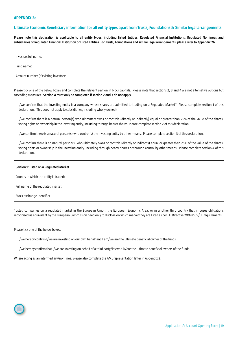# <span id="page-18-0"></span>**APPENDIX 2a**

# **Ultimate Economic Beneficiary information for all entity types apart from Trusts, Foundations & Similar legal arrangements**

**Please note this declaration is applicable to all entity types, including Listed Entities, Regulated Financial Institutions, Regulated Nominees and subsidiaries of Regulated Financial Institution or Listed Entities. For Trusts, Foundations and similar legal arrangements, please refer to Appendix 2b.**

Investors full name:

Fund name:

Account number (if existing investor):

Please tick one of the below boxes and complete the relevant section in block capitals. Please note that sections 2, 3 and 4 are not alternative options but cascading measures. **Section 4 must only be completed if section 2 and 3 do not apply.**

 I/we confirm that the investing entity is a company whose shares are admitted to trading on a Regulated Market\*. Please complete section 1 of this declaration. (This does not apply to subsidiaries, including wholly owned).

I/we confirm there is a natural person(s) who ultimately owns or controls (directly or indirectly) equal or greater than 25% of the value of the shares, voting rights or ownership in the investing entity, including through bearer shares. Please complete section 2 of this declaration.

I/we confirm there is a natural person(s) who control(s) the investing entity by other means. Please complete section 3 of this declaration.

I/we confirm there is no natural person(s) who ultimately owns or controls (directly or indirectly) equal or greater than 25% of the value of the shares, voting rights or ownership in the investing entity, including through bearer shares or through control by other means. Please complete section 4 of this declaration.

#### **Section 1: Listed on a Regulated Market**

Country in which the entity is traded:

Full name of the regulated market:

Stock exchange identifier:

\* Listed companies on a regulated market in the European Union, the European Economic Area, or in another third country that imposes obligations recognised as equivalent by the European Commission need only to disclose on which market they are listed as per EU Directive 2004/109/CE requirements.

Please tick one of the below boxes:

I/we hereby confirm I/we are investing on our own behalf and I am/we are the ultimate beneficial owner of the funds

I/we hereby confirm that I/we are investing on behalf of a third party/ies who is/are the ultimate beneficial owners of the funds.

Where acting as an intermediary/nominee, please also complete the AML representation letter in Appendix 2.

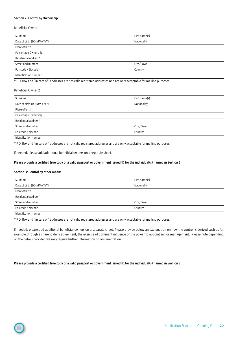# **Section 2: Control by Ownership**

Beneficial Owner 1

| Surname                    | First name(s) |  |
|----------------------------|---------------|--|
| Date of birth (DD-MM-YYYY) | Nationality   |  |
| Place of birth             |               |  |
| Percentage Ownership       |               |  |
| Residential Address*       |               |  |
| Street and number          | City / Town   |  |
| Postcode / Zipcode         | Country       |  |
| Identification number      |               |  |

\* P.O. Box and "in care of" addresses are not valid registered addresses and are only acceptable for mailing purposes.

# Beneficial Owner 2

| Surname                    | First name(s) |
|----------------------------|---------------|
| Date of birth (DD-MM-YYYY) | Nationality   |
| Place of birth             |               |
| Percentage Ownership       |               |
| Residential Address*       |               |
| Street and number          | City / Town   |
| Postcode / Zipcode         | Country       |
| I Identification number    |               |

\* P.O. Box and "in care of" addresses are not valid registered addresses and are only acceptable for mailing purposes.

If needed, please add additional beneficial owners on a separate sheet.

# **Please provide a certified true copy of a valid passport or government issued ID for the individual(s) named in Section 2.**

#### **Section 3: Control by other means**

| Surname                    | First name(s) |
|----------------------------|---------------|
| Date of birth (DD-MM-YYYY) | Nationality   |
| Place of birth             |               |
| Residential Address*       |               |
| Street and number          | City / Town   |
| Postcode / Zipcode         | Country       |
| Identification number      |               |

\* P.O. Box and "in care of" addresses are not valid registered addresses and are only acceptable for mailing purposes.

If needed, please add additional beneficial owners on a separate sheet. Please provide below an explanation on how the control is derived such as for example through a shareholder's agreement, the exercise of dominant influence or the power to appoint senior management. Please note depending on the details provided we may require further information or documentation.

**Please provide a certified true copy of a valid passport or government issued ID for the individual(s) named in Section 3.**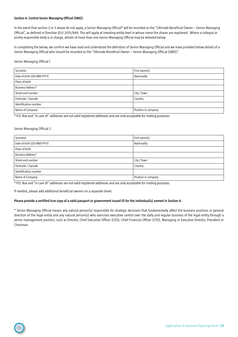# **Section 4: Control Senior Managing Official (SMO)**

In the event that section 2 or 3 above do not apply, a Senior Managing Official\* will be recorded as the "Ultimate Beneficial Owner – Senior Managing Official", as defined in Directive (EU) 2015/849. This will apply at investing entity level in whose name the shares are registered. Where a collegial or jointly responsible body is in charge, details of more than one Senior Managing Official may be detailed below.

In completing the below, we confirm we have read and understood the definition of Senior Managing Official and we have provided below details of a Senior Managing Official who should be recorded as the "Ultimate Beneficial Owner – Senior Managing Official (SMO)".

#### Senior Managing Official 1

| Surname                    | First name(s)       |
|----------------------------|---------------------|
| Date of birth (DD-MM-YYYY) | Nationality         |
| Place of birth             |                     |
| Business Address*          |                     |
| Street and number          | City / Town         |
| Postcode / Zipcode         | Country             |
| Identification number      |                     |
| Name of Company            | Position in company |

\* P.O. Box and "in care of" addresses are not valid registered addresses and are only acceptable for mailing purposes.

# Senior Managing Official 2

| Surname                    | First name(s)       |
|----------------------------|---------------------|
| Date of birth (DD-MM-YYYY) | Nationality         |
| Place of birth             |                     |
| Business Address*          |                     |
| Street and number          | City / Town         |
| Postcode / Zipcode         | Country             |
| I Identification number    |                     |
| Name of Company            | Position in company |

\* P.O. Box and "in care of" addresses are not valid registered addresses and are only acceptable for mailing purposes.

If needed, please add additional beneficial owners on a separate sheet.

#### **Please provide a certified true copy of a valid passport or government issued ID for the individual(s) named in Section 4.**

\* Senior Managing Official means any natural person(s) responsible for strategic decisions that fundamentally affect the business practices or general direction of the legal entity and any natural person(s) who exercises executive control over the daily and regular business of the legal entity through a senior management position, such as Director, Chief Executive Officer (CEO), Chief Financial Officer (CFO), Managing or Executive Director, President or Chairman.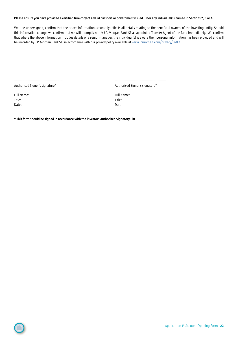# **Please ensure you have provided a certified true copy of a valid passport or government issued ID for any individual(s) named in Sections 2, 3 or 4.**

We, the undersigned, confirm that the above information accurately reflects all details relating to the beneficial owners of the investing entity. Should this information change we confirm that we will promptly notify J.P. Morgan Bank SE as appointed Transfer Agent of the fund immediately. We confirm that where the above information includes details of a senior manager, the individual(s) is aware their personal information has been provided and will be recorded by J.P. Morgan Bank SE. in accordance with our privacy policy available at [www.jpmorgan.com/privacy/EMEA.](http://www.jpmorgan.com/privacy/EMEA)

Authorised Signer's signature\* and a state of the Authorised Signer's signature and Authorised Signer's signature and Authorised Signer's signature and Authorised Signer's signature and Authorised Signer's signature and Au

Full Name: Full Name: Title: Title: Date: Date: Date: Date: Date: Date: Date: Date: Date: Date: Date: Date: Date: Date: Date: Date: Date: Date: Date: Date: Date: Date: Date: Date: Date: Date: Date: Date: Date: Date: Date: Date: Date: Date: Date: Date: Date:

**\* This form should be signed in accordance with the investors Authorised Signatory List.**

---------------------------------------------------- ------------------------------------------------------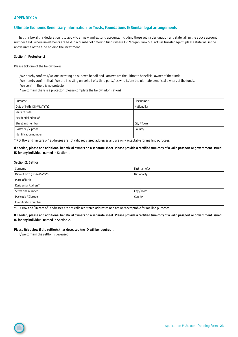# <span id="page-22-0"></span>**Ultimate Economic Beneficiary information for Trusts, Foundations & Similar legal arrangements**

Tick this box if this declaration is to apply to all new and existing accounts, including those with a designation and state 'all' in the above account number field. Where investments are held in a number of differing funds where J.P. Morgan Bank S.A. acts as transfer agent, please state 'all' in the above name of the fund holding the investment.

### **Section 1: Protector(s)**

Please tick one of the below boxes:

I/we hereby confirm I/we are investing on our own behalf and I am/we are the ultimate beneficial owner of the funds

I/we hereby confirm that I/we are investing on behalf of a third party/ies who is/are the ultimate beneficial owners of the funds.

I/we confirm there is no protector

I/ we confirm there is a protector (please complete the below information)

| Surname                    | First name(s) |
|----------------------------|---------------|
| Date of birth (DD-MM-YYYY) | Nationality   |
| Place of birth             |               |
| Residential Address*       |               |
| Street and number          | City / Town   |
| Postcode / Zipcode         | Country       |
| Identification number      |               |

\* P.O. Box and "in care of" addresses are not valid registered addresses and are only acceptable for mailing purposes.

**If needed, please add additional beneficial owners on a separate sheet. Please provide a certified true copy of a valid passport or government issued ID for any individual named in Section 1.**

#### **Section 2: Settlor**

| Surname                    | First name(s) |
|----------------------------|---------------|
| Date of birth (DD-MM-YYYY) | Nationality   |
| Place of birth             |               |
| Residential Address*       |               |
| Street and number          | City / Town   |
| Postcode / Zipcode         | Country       |
| Identification number      |               |

\* P.O. Box and "in care of" addresses are not valid registered addresses and are only acceptable for mailing purposes.

**If needed, please add additional beneficial owners on a separate sheet. Please provide a certified true copy of a valid passport or government issued ID for any individual named in Section 2.** 

**Please tick below if the settlor(s) has deceased (no ID will be required).**

I/we confirm the settlor is deceased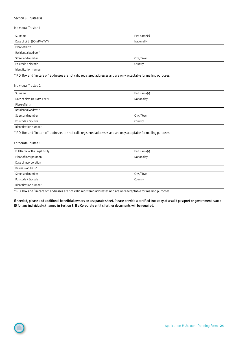# **Section 3: Trustee(s)**

### Individual Trustee 1

| Surname                    | First name(s) |
|----------------------------|---------------|
| Date of birth (DD-MM-YYYY) | Nationality   |
| Place of birth             |               |
| Residential Address*       |               |
| Street and number          | City / Town   |
| Postcode / Zipcode         | Country       |
| Identification number      |               |

\* P.O. Box and "in care of" addresses are not valid registered addresses and are only acceptable for mailing purposes.

# Individual Trustee 2

| Surname                    | First name(s) |
|----------------------------|---------------|
| Date of birth (DD-MM-YYYY) | Nationality   |
| Place of birth             |               |
| Residential Address*       |               |
| Street and number          | City / Town   |
| Postcode / Zipcode         | Country       |
| Identification number      |               |

\* P.O. Box and "in care of" addresses are not valid registered addresses and are only acceptable for mailing purposes.

# Corporate Trustee 1

| Full Name of the Legal Entity | First name(s) |
|-------------------------------|---------------|
| Place of incorporation        | Nationality   |
| Date of Incorporation         |               |
| Business Address*             |               |
| Street and number             | City / Town   |
| Postcode / Zipcode            | Country       |
| Identification number         |               |

\* P.O. Box and "in care of" addresses are not valid registered addresses and are only acceptable for mailing purposes.

**If needed, please add additional beneficial owners on a separate sheet. Please provide a certified true copy of a valid passport or government issued ID for any individual(s) named in Section 3. If a Corporate entity, further documents will be required.**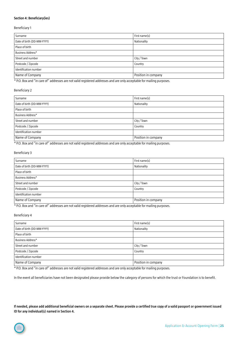# **Section 4: Beneficiary(ies)**

### Beneficiary 1

| Surname                    | First name(s)       |
|----------------------------|---------------------|
| Date of birth (DD-MM-YYYY) | Nationality         |
| Place of birth             |                     |
| Business Address*          |                     |
| Street and number          | City / Town         |
| Postcode / Zipcode         | Country             |
| Identification number      |                     |
| Name of Company            | Position in company |

\* P.O. Box and "in care of" addresses are not valid registered addresses and are only acceptable for mailing purposes.

# Beneficiary 2

| Surname                    | First name(s)       |
|----------------------------|---------------------|
| Date of birth (DD-MM-YYYY) | Nationality         |
| Place of birth             |                     |
| Business Address*          |                     |
| Street and number          | City / Town         |
| Postcode / Zipcode         | Country             |
| Identification number      |                     |
| Name of Company            | Position in company |

\* P.O. Box and "in care of" addresses are not valid registered addresses and are only acceptable for mailing purposes.

# Beneficiary 3

| Surname                    | First name(s)       |
|----------------------------|---------------------|
| Date of birth (DD-MM-YYYY) | Nationality         |
| Place of birth             |                     |
| Business Address*          |                     |
| Street and number          | City / Town         |
| Postcode / Zipcode         | Country             |
| I Identification number    |                     |
| Name of Company            | Position in company |

\* P.O. Box and "in care of" addresses are not valid registered addresses and are only acceptable for mailing purposes.

# Beneficiary 4

| Surname                    | First name(s)       |
|----------------------------|---------------------|
| Date of birth (DD-MM-YYYY) | Nationality         |
| Place of birth             |                     |
| Business Address*          |                     |
| Street and number          | City / Town         |
| Postcode / Zipcode         | Country             |
| Identification number      |                     |
| Name of Company            | Position in company |

\* P.O. Box and "in care of" addresses are not valid registered addresses and are only acceptable for mailing purposes.

In the event all beneficiaries have not been designated please provide below the category of persons for which the trust or Foundation is to benefit.

**If needed, please add additional beneficial owners on a separate sheet. Please provide a certified true copy of a valid passport or government issued ID for any individual(s) named in Section 4.**

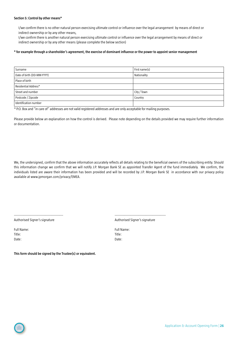# **Section 5: Control by other means\***

I/we confirm there is no other natural person exercising ultimate control or influence over the legal arrangement by means of direct or indirect ownership or by any other means,

I/we confirm there is another natural person exercising ultimate control or influence over the legal arrangement by means of direct or indirect ownership or by any other means (please complete the below section)

# **\* for example through a shareholder's agreement, the exercise of dominant influence or the power to appoint senior management**

| Surname                    | First name(s) |
|----------------------------|---------------|
| Date of birth (DD-MM-YYYY) | Nationality   |
| Place of birth             |               |
| Residential Address*       |               |
| Street and number          | City / Town   |
| Postcode / Zipcode         | Country       |
| Identification number      |               |

\* P.O. Box and "in care of" addresses are not valid registered addresses and are only acceptable for mailing purposes.

Please provide below an explanation on how the control is derived. Please note depending on the details provided we may require further information or documentation.

We, the undersigned, confirm that the above information accurately reflects all details relating to the beneficial owners of the subscribing entity. Should this information change we confirm that we will notify J.P. Morgan Bank SE as appointed Transfer Agent of the fund immediately. We confirm, the individuals listed are aware their information has been provided and will be recorded by J.P. Morgan Bank SE in accordance with our privacy policy available at www.jpmorgan.com/privacy/EMEA.

Authorised Signer's signature Authorised Signer's signature Authorised Signer's signature

Full Name: Full Name: Title: Title: Date: **Date:** Date: **Date: Date: Date: Date: Date: Date: Date: Date: Date: Date: Date: Date: Date: Date: Date: Date: Date: Date: Date: Date: Date: Date: Date: Date: Date: D** 

---------------------------------------------------- ------------------------------------------------------

**This form should be signed by the Trustee(s) or equivalent.**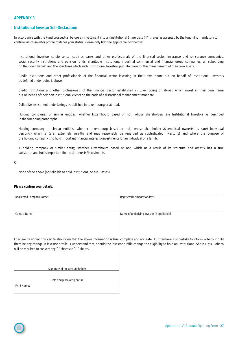# <span id="page-26-0"></span>**APPENDIX 3**

# **Institutional Investor Self-Declaration**

In accordance with the Fund prospectus, before an investment into an Institutional Share class ("I" shares) is accepted by the fund, it is mandatory to confirm which investor profile matches your status. Please only tick one applicable box below:

Institutional Investors stricto sensu, such as banks and other professionals of the financial sector, insurance and reinsurance companies, social security institutions and pension funds, charitable institutions, industrial commercial and financial group companies, all subscribing on their own behalf, and the structures which such Institutional Investors put into place for the management of their own assets.

Credit institutions and other professionals of the financial sector investing in their own name but on behalf of Institutional Investors as defined under point 1. above.

Credit institutions and other professionals of the financial sector established in Luxembourg or abroad which invest in their own name but on behalf of their non institutional clients on the basis of a discretional management mandate.

Collective investment undertakings established in Luxembourg or abroad.

Holding companies or similar entities, whether Luxembourg based or not, whose shareholders are Institutional Investors as described in the foregoing paragraphs.

Holding company or similar entities, whether Luxembourg based or not, whose shareholder(s)/beneficial owner(s) is (are) individual person(s) which is (are) extremely wealthy and may reasonably be regarded as sophisticated investor(s) and where the purpose of the holding company is to hold important financial interests/investments for an individual or a family.

A holding company or similar entity, whether Luxembourg based or not, which as a result of its structure and activity has a true substance and holds important financial interests/investments.

Or

None of the above (not eligible to hold Institutional Share Classes)

### **Please confirm your details:**

| Registered Company Address:                 |
|---------------------------------------------|
|                                             |
| Name of underlying investor (if applicable) |
|                                             |
|                                             |

I declare by signing this certification form that the above information is true, complete and accurate. Furthermore, I undertake to inform Robeco should there be any change in investor profile. I understand that, should the investor profile change the eligibility to hold an Institutional Share Class, Robeco will be required to convert any "I" shares to "D" shares.

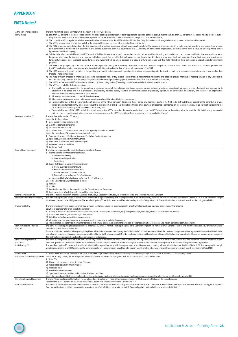# <span id="page-27-0"></span>**APPENDIX 4**

# **FATCA Notes\***

 $\bigcirc$ 

| Active Non Financial Foreign<br>Entity (NFFE)   | The term Active NFFE means any NFFE which meets any of the following criteria:<br>a) Less than 50 per cent of the NFFE's gross income for the preceding calendar year or other appropriate reporting period is passive income and less than 50 per cent of the assets held by the NFFE during<br>the preceding calendar year or other appropriate reporting period are assets that produce or are held for the production of passive income;<br>b) The stock of the NFFE is reqularly traded on an established securities market or the NFFE is a Related Entity of an Entity the stock of which is reqularly traded on an established securities market;<br>c) The NFFE is organized in a U.S. Territory and all of the owners of the payee are bona fide residents of that U.S. Territory;<br>d) The NFFE is a government (other than the U.S. government), a political subdivision of such government (which, for the avoidance of doubt, includes a state, province, county, or municipality), or a public |
|-------------------------------------------------|----------------------------------------------------------------------------------------------------------------------------------------------------------------------------------------------------------------------------------------------------------------------------------------------------------------------------------------------------------------------------------------------------------------------------------------------------------------------------------------------------------------------------------------------------------------------------------------------------------------------------------------------------------------------------------------------------------------------------------------------------------------------------------------------------------------------------------------------------------------------------------------------------------------------------------------------------------------------------------------------------------------|
|                                                 | body performing a function of such government or a political subdivision thereof, a government of a U.S.Territory, an international organization, a non-U.S.central bank of issue, or an Entity wholly owned<br>by one or more of the foregoing;<br>e) Substantially all of the activities of the NFFE consist of holding (in whole or in part) the outstanding stock of, or providing financing and services to, one or more subsidiaries that engage in trades or                                                                                                                                                                                                                                                                                                                                                                                                                                                                                                                                            |
|                                                 | businesses other than the business of a Financial Institution, except that an NFFE shall not qualify for this status if the NFFE functions (or holds itself out) as an investment fund, such as a private equity<br>fund, venture capital fund, leveraged buyout fund, or any investment vehicle whose purpose is to acquire or fund companies and then hold interests in those companies as capital assets for investment<br>purposes;                                                                                                                                                                                                                                                                                                                                                                                                                                                                                                                                                                        |
|                                                 | f)<br>The NFFE is not yet operating a business and has no prior operating history, but is investing capital into assets with the intent to operate a business other than that of a Financial Institution, provided that<br>the NFFE shall not qualify for this exception after the date that is 24 months after the date of the initial organization of the NFFE;<br>g) The NFFE was not a Financial Institution in the past five years, and is in the process of liquidating its assets or is reorganizing with the intent to continue or recommence operations in a business other than                                                                                                                                                                                                                                                                                                                                                                                                                      |
|                                                 | that of a Financial Institution;<br>h) The NFFE primarily engages in financing and hedging transactions with, or for, Related Entities that are not Financial Institutions, and does not provide financing or hedging services to any Entity that is<br>not a Related Entity, provided that the group of any such Related Entities is primarily engaged in a business other than that of a Financial Institution;                                                                                                                                                                                                                                                                                                                                                                                                                                                                                                                                                                                              |
|                                                 | The NFFE is an "excepted NFFE" as described in relevant U.S. Treasury Regulations (This category includes essentially certain retirement funds); or<br>i).<br>j<br>The NFFE meets all of the following requirements:<br>i. It is established and operated in its jurisdiction of residence exclusively for religious, charitable, scientific, artistic, cultural, athletic, or educational purposes; or it is established and operated in its                                                                                                                                                                                                                                                                                                                                                                                                                                                                                                                                                                  |
|                                                 | jurisdiction of residence and it is a professional organization, business league, chamber of commerce, labour organization, agricultural or horticultural organization, civic league or an organization<br>operated exclusively for the promotion of social welfare;<br>ii. It is exempt from income tax in its jurisdiction of residence;                                                                                                                                                                                                                                                                                                                                                                                                                                                                                                                                                                                                                                                                     |
|                                                 | iii. It has no shareholders or members who have a proprietary or beneficial interest in its income or assets;<br>iv. The applicable laws of the NFFE's jurisdiction of residence or the NFFE's formation documents do not permit any income or assets of the NFFE to be distributed to, or applied for the benefit of, a private                                                                                                                                                                                                                                                                                                                                                                                                                                                                                                                                                                                                                                                                               |
|                                                 | person or non-charitable Entity other than pursuant to the conduct of the NFFE's charitable activities, or as payment of reasonable compensation for services rendered, or as payment representing the<br>fair market value of property which the NFFE has purchased; and<br>v. The applicable laws of the NFFE's jurisdiction of residence or the NFFE's formation documents require that, upon the NFFE's liquidation or dissolution, all of its assets be distributed to a governmental                                                                                                                                                                                                                                                                                                                                                                                                                                                                                                                     |
|                                                 | entity or other non-profit organization, or escheat to the government of the NFFE's jurisdiction of residence or any political subdivision thereof.                                                                                                                                                                                                                                                                                                                                                                                                                                                                                                                                                                                                                                                                                                                                                                                                                                                            |
| Deemed-compliant FFI                            | The term deemed-compliant FFI means,<br>Under the IRS Regulations:<br>1) A registered deemed-compliant FFI                                                                                                                                                                                                                                                                                                                                                                                                                                                                                                                                                                                                                                                                                                                                                                                                                                                                                                     |
|                                                 | 2) A certified deemed-compliant FFI<br>3) An owner-documented FFI                                                                                                                                                                                                                                                                                                                                                                                                                                                                                                                                                                                                                                                                                                                                                                                                                                                                                                                                              |
|                                                 | 4) A QI branch of a U.S. financial institution that is a reporting FFI under IGA Model 1<br>Under the Luxembourg IGA (concerning investments funds)<br>1) Sponsored Investment Entity and Sponsored Controlled Foreign Corporation                                                                                                                                                                                                                                                                                                                                                                                                                                                                                                                                                                                                                                                                                                                                                                             |
|                                                 | 2) Sponsored, Closely Held Investment Vehicle<br>3) Investment Advisors and Investment Managers                                                                                                                                                                                                                                                                                                                                                                                                                                                                                                                                                                                                                                                                                                                                                                                                                                                                                                                |
|                                                 | 4) Collective Investment Vehicles<br>5) Restricted Fund                                                                                                                                                                                                                                                                                                                                                                                                                                                                                                                                                                                                                                                                                                                                                                                                                                                                                                                                                        |
| <b>Exempt Beneficial owner</b>                  | The following Entities shall be treated as Exempt Beneficial Owners:<br>1) Exempt Beneficial Owners other than Funds.                                                                                                                                                                                                                                                                                                                                                                                                                                                                                                                                                                                                                                                                                                                                                                                                                                                                                          |
|                                                 | a. Governmental Entity.<br>b. International Organization.                                                                                                                                                                                                                                                                                                                                                                                                                                                                                                                                                                                                                                                                                                                                                                                                                                                                                                                                                      |
|                                                 | c. Central Bank.<br>2) Funds that Qualify as Exempt Beneficial Owners<br>a. Treaty-Qualified Retirement Fund                                                                                                                                                                                                                                                                                                                                                                                                                                                                                                                                                                                                                                                                                                                                                                                                                                                                                                   |
|                                                 | b. Broad Participation Retirement Fund<br>c. Narrow Participation Retirement Fund                                                                                                                                                                                                                                                                                                                                                                                                                                                                                                                                                                                                                                                                                                                                                                                                                                                                                                                              |
|                                                 | d. Pension Fund of an Exempt Beneficial Owner<br>e. Investment Entity Wholly Owned by Exempt Beneficial Owners                                                                                                                                                                                                                                                                                                                                                                                                                                                                                                                                                                                                                                                                                                                                                                                                                                                                                                 |
|                                                 | Under the Luxembourg IGA, with respect to funds:<br>3) SEPCAVs                                                                                                                                                                                                                                                                                                                                                                                                                                                                                                                                                                                                                                                                                                                                                                                                                                                                                                                                                 |
|                                                 | 4) ASSEPs,<br>5) Pension funds subject to the supervision of the Commissariat aux Assurances.                                                                                                                                                                                                                                                                                                                                                                                                                                                                                                                                                                                                                                                                                                                                                                                                                                                                                                                  |
| Financial Institution (FI)                      | 6) Investment Entity Wholly Owned by Exempt Beneficial Owners<br>The term "Financial Institution" means a Custodial Institution, a Depository Institution, an Investment Entity, or a Specified Insurance Company.                                                                                                                                                                                                                                                                                                                                                                                                                                                                                                                                                                                                                                                                                                                                                                                             |
| Foreign Financial Institution (FFI)             | The term Participating FFI means a Financial Institution that has agreed to comply with the requirements of an FFI agreement, including a Financial Institution described in a Model 2 IGA that has agreed to comply<br>with the requirements of an FFI Agreement. The term Participating FFI also in includes a qualified intermediary branch of a Reporting U.S. Financial Institution, unless such branch is a Reporting Model 1 FFI.                                                                                                                                                                                                                                                                                                                                                                                                                                                                                                                                                                       |
| <b>Investment Entity</b>                        | The term Investment Entity means any entity that primarily conducts as a business (or is managed by an entity that conducts as a business) one or more of the following<br>activities or operations for or on behalf of a customer:<br>1) trading in money market instruments (cheques, bills, certificates of deposit, derivatives, etc.); foreign exchange; exchange, interest rate and index instruments;                                                                                                                                                                                                                                                                                                                                                                                                                                                                                                                                                                                                   |
|                                                 | 2) transferable securities; or commodity futures trading;<br>3) individual and collective portfolio management; or<br>4) otherwise investing, administering, or managing funds or money on behalf of other persons.                                                                                                                                                                                                                                                                                                                                                                                                                                                                                                                                                                                                                                                                                                                                                                                            |
| Non-Participating Financial                     | 5) This term shall be interpreted in a manner consistent with similar language set forth in the definition of "financial institution" in the Financial Action Task Force Recommendations.<br>The term "Non-Participating Financial Institution" means an FI, which is neither a Participating FFI, nor a Deemed Compliant FFI, nor an Exempt Beneficial Owner. The definition includes a Luxembourg Financial                                                                                                                                                                                                                                                                                                                                                                                                                                                                                                                                                                                                  |
| Institution                                     | Institution or other Partner Jurisdiction<br>Financial Institution treated as a Non-participating Financial Institution pursuant to subparagraph 2(b) of Article 5 of the Luxembourg IGA or the corresponding provision in an agreement between the United States<br>and a Partner Jurisdiction. Pursuant to subparagraph 2(b) of Article 5 of the Luxembourg IGA, a Non-participating Financial Institution is a Financial Institution that has not solved its non-compliance within a period of                                                                                                                                                                                                                                                                                                                                                                                                                                                                                                              |
| Non-Reporting Financial<br>Institution          | 18 months after notification of significant non-compliance is first provided.<br>The term "Non-Reporting Financial Institution" means any Financial Institution, or other Entity resident in a FATCA partner jurisdiction that is described in Annex II as a Non-Reporting Financial Institution or that<br>otherwise qualifies as a deemed-compliant FFI or an exempt beneficial owner under relevant U.S. Treasury Requlations in effect on the date of signature of the relevant Intergovernmental Agreement.                                                                                                                                                                                                                                                                                                                                                                                                                                                                                               |
| Participating FFI                               | The term Participating FFI means a Financial Institution that has agreed to comply with the requirements of an FFI agreement, including a Financial Institution described in a Model 2 IGA that has agreed to comply<br>with the requirements of an FFI Agreement. The term Participating FFI also in includes a qualified intermediary branch of a Reporting U.S. Financial Institution, unless such branch is a Reporting Model 1 FFI.                                                                                                                                                                                                                                                                                                                                                                                                                                                                                                                                                                       |
| Passive NFFE<br>Registered Deemed-compliant FFI | A "Passive NFFE" means any NFFE that is not (i) an Active NFFE, or (ii) a withholding foreign partnership or withholding foreign trust pursuant to relevant U.S. Treasury Regulations.<br>Under the IRS Regulations, the term registered deemed-compliant FFI, means an FFI registers with the IRS to declare its status, and includes:                                                                                                                                                                                                                                                                                                                                                                                                                                                                                                                                                                                                                                                                        |
|                                                 | 1) Local FFIs<br>2) Non-reporting members of participating FFI groups<br>3) Qualified collective investment vehicles                                                                                                                                                                                                                                                                                                                                                                                                                                                                                                                                                                                                                                                                                                                                                                                                                                                                                           |
|                                                 | 4) Restricted funds<br>5) Qualified credit card issuers                                                                                                                                                                                                                                                                                                                                                                                                                                                                                                                                                                                                                                                                                                                                                                                                                                                                                                                                                        |
|                                                 | 6) Sponsored investment entities and controlled foreign corporations.<br>Under the Luxembourg IGA, there are not registered deemed compliant statuses, all deemed compliant status are non-reporting and therefore do not need to register with the IRS.                                                                                                                                                                                                                                                                                                                                                                                                                                                                                                                                                                                                                                                                                                                                                       |
| Reporting Financial Institution                 | The term "Reporting Financial Institution" means a Reporting FATCA Partner Financial Institution or a Reporting U.S. Financial Institution, as the context requires.<br>In the context of the Luxembourg IGA means a Reporting Luxembourg Financial Institution ("Luxembourg Fi")                                                                                                                                                                                                                                                                                                                                                                                                                                                                                                                                                                                                                                                                                                                              |
| Restricted distributor                          | The notion of Restricted Distributor is not mentioned in the IGA. A restricted distributors is a very small distributor (less than 30 customers of which at least half are related persons), which acts locally; i.e. it has n<br>fixed place of business outside its country of incorporation. For a full definition, please refer to the U.S. Treasury Regulations at "definition of a restricted distributor".                                                                                                                                                                                                                                                                                                                                                                                                                                                                                                                                                                                              |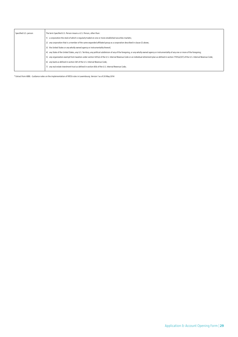| Specified U.S. person | The term Specified U.S. Person means a U.S. Person, other than:                                                                                                                                       |
|-----------------------|-------------------------------------------------------------------------------------------------------------------------------------------------------------------------------------------------------|
|                       | a corporation the stock of which is regularly traded on one or more established securities markets;                                                                                                   |
|                       | 2) any corporation that is a member of the same expanded affiliated group as a corporation described in clause (i) above;                                                                             |
|                       | 3) the United States or any wholly owned agency or instrumentality thereof;                                                                                                                           |
|                       | 4) any State of the United States, any U.S. Territory, any political subdivision of any of the foregoing, or any wholly owned agency or instrumentality of any one or more of the foregoing;          |
|                       | 5) any organization exempt from taxation under section 501(a) of the U.S. Internal Revenue Code or an individual retirement plan as defined in section 7701(a)(37) of the U.S. Internal Revenue Code: |
|                       | 6) any bank as defined in section 581 of the U.S. Internal Revenue Code;                                                                                                                              |
|                       | any real estate investment trust as defined in section 856 of the U.S. Internal Revenue Code:                                                                                                         |
|                       |                                                                                                                                                                                                       |

\* Extract from ABBL - Guidance notes on the implementation of FATCA rules in Luxembourg. Version 1 as of 20 May 2014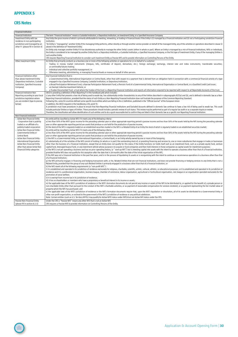# <span id="page-29-0"></span>**APPENDIX 5**

# **CRS Notes**

 $\bigcirc$ 

| <b>Financial Institution</b>                                                                                                                                                      |                                                                                                                                                                                                                                                                                                                                                                                                                                       |  |  |  |
|-----------------------------------------------------------------------------------------------------------------------------------------------------------------------------------|---------------------------------------------------------------------------------------------------------------------------------------------------------------------------------------------------------------------------------------------------------------------------------------------------------------------------------------------------------------------------------------------------------------------------------------|--|--|--|
| <b>Financial Institution</b><br>The term "Financial Institution" means a Custodial Institution, a Depository Institution, an Investment Entity, or a Specified Insurance Company. |                                                                                                                                                                                                                                                                                                                                                                                                                                       |  |  |  |
| Investment Entity with tax                                                                                                                                                        | Any Entity the gross income of which is primarily attributable to investing, reinvesting, or trading in Financial Assets if the Entity is (i) managed by a Financial Institution and (ii) not a Participating Jurisdiction Fin                                                                                                                                                                                                        |  |  |  |
| residence in non-participating                                                                                                                                                    | Institution.                                                                                                                                                                                                                                                                                                                                                                                                                          |  |  |  |
| jurisdiction and managed by an                                                                                                                                                    | "An Entity is "managed by" another Entity if the managing Entity performs, either directly or through another service provider on behalf of the managed Entity, any of the activities or operations described in clause (i)                                                                                                                                                                                                           |  |  |  |
| other FI (please fill in Section 4)                                                                                                                                               | above in the definition of 'Investment Entity'.                                                                                                                                                                                                                                                                                                                                                                                       |  |  |  |
|                                                                                                                                                                                   | An Entity only manages another Entity if it has discretionary authority to manage the other Entity's assets (either in whole or part). Where an Entity is managed by a mix of Financial Institutions, NFEs or individuals,                                                                                                                                                                                                            |  |  |  |
|                                                                                                                                                                                   | the Entity is considered to be managed by another Entity that is a Depository Institution, a Custodial Institution, a Specified Insurance Company, or the first type of Investment Entity, if any of the managing Entities is<br>such another Entity.                                                                                                                                                                                 |  |  |  |
|                                                                                                                                                                                   | CRS requires Reporting Financial Institution to consider such Investment Entity as Passive NFE and to provide information on Controlling Persons of the Entity.                                                                                                                                                                                                                                                                       |  |  |  |
| Other Investment Entity                                                                                                                                                           | An Entity that primarily conducts as a business one or more of the following activities or operations for or on behalf of a customer:                                                                                                                                                                                                                                                                                                 |  |  |  |
|                                                                                                                                                                                   | Trading in money market instruments (cheques, bills, certificates of deposit, derivatives, etc.); foreign exchange; exchange, interest rate and index instruments; transferable securities;                                                                                                                                                                                                                                           |  |  |  |
|                                                                                                                                                                                   | or commodity futures trading;                                                                                                                                                                                                                                                                                                                                                                                                         |  |  |  |
|                                                                                                                                                                                   | Individual and collective portfolio management; or                                                                                                                                                                                                                                                                                                                                                                                    |  |  |  |
|                                                                                                                                                                                   | Otherwise investing, administering, or managing Financial Assets or money on behalf of other persons                                                                                                                                                                                                                                                                                                                                  |  |  |  |
| Financial Institution other                                                                                                                                                       | Any Financial Institution that is:                                                                                                                                                                                                                                                                                                                                                                                                    |  |  |  |
| than above Investment Entity                                                                                                                                                      | a Governmental Entity, International Organisation or Central Bank, other than with respect to a payment that is derived from an obligation held in connection with a commercial financial activity of a type                                                                                                                                                                                                                          |  |  |  |
| (Depository Institution, Custodial                                                                                                                                                | engaged in by a Specified Insurance Company, Custodial Institution, or Depository Institution;                                                                                                                                                                                                                                                                                                                                        |  |  |  |
| Institution, Specified Insurance                                                                                                                                                  | a Broad Participation Retirement Fund; a Narrow Participation Retirement Fund; a Pension Fund of a Governmental Entity, International Organisation or Central Bank; or a Qualified Credit Card Issuer;                                                                                                                                                                                                                                |  |  |  |
| Company)                                                                                                                                                                          | an Exempt Collective Investment Vehicle; or                                                                                                                                                                                                                                                                                                                                                                                           |  |  |  |
|                                                                                                                                                                                   | a Trustee-Documented Trust: a trust where the trustee of the trust is a Reporting Financial Institution and reports all information required to be reported with respect to all Reportable Accounts of the trust;                                                                                                                                                                                                                     |  |  |  |
| <b>Financial Institution Non</b>                                                                                                                                                  | OECD is providing a definition of Non Reporting FI in the handbook p46 which includes:                                                                                                                                                                                                                                                                                                                                                |  |  |  |
| Reporting according to your local                                                                                                                                                 | c) any other Entity that presents a low risk of being used to evade tax, has substantially similar characteristics to any of the Entities described in subparagraphs B(1)(a) and (b), and is defined in domestic law as a Non-                                                                                                                                                                                                        |  |  |  |
| jurisdiction legislation where                                                                                                                                                    | Reporting Financial Institution, provided that the status of such Entity as a Non-Reporting Financial Institution does not frustrate the purposes of the Common Reporting Standard.                                                                                                                                                                                                                                                   |  |  |  |
| you are resident (type to precise                                                                                                                                                 | Following this, some EU countries defined some specific local entities which are falling in this c) definition, published in the "Official Journal" of the European Union                                                                                                                                                                                                                                                             |  |  |  |
| below)                                                                                                                                                                            | In addition, the OECD requests in the handbook p 210, point 15:                                                                                                                                                                                                                                                                                                                                                                       |  |  |  |
|                                                                                                                                                                                   | A jurisdiction must have procedures in place to ensure that Non-Reporting Financial Institutions and Excluded Accounts defined in domestic law continue to have a low risk of being used to evade tax. This could                                                                                                                                                                                                                     |  |  |  |
|                                                                                                                                                                                   | include particular Entities or types of Entities. These procedures should include a periodic review of such status. This review may be performed as part of a regular tax audit or as a separate inquiry or review.<br>Therefore, the classification will allow identification of such entities and to do a quick reasonable test to confirm they are listed in their domestic law as a specific non Reporting Financial Institution. |  |  |  |
| Non-Financial Institution                                                                                                                                                         |                                                                                                                                                                                                                                                                                                                                                                                                                                       |  |  |  |
|                                                                                                                                                                                   | An entity will be classified as Active NFE if it meets any of the following criteria:                                                                                                                                                                                                                                                                                                                                                 |  |  |  |
| - Active Non Financial Entity<br>- Corporation that is publicly                                                                                                                   | a) less than 50% of the NFE's gross income for the preceding calendar year or other appropriate reporting period is passive income and less than 50% of the assets held by the NFE during the preceding calendar                                                                                                                                                                                                                      |  |  |  |
| traded or an affiliate of a                                                                                                                                                       | year or other appropriate reporting period are assets that produce or are held for the production of passive income;                                                                                                                                                                                                                                                                                                                  |  |  |  |
| publicly traded corporation                                                                                                                                                       | b) the stock of the NFE is reqularly traded on an established securities market or the NFE is a Related Entity of an Entity the stock of which is reqularly traded on an established securities market;                                                                                                                                                                                                                               |  |  |  |
| Active Non Financial Entity -                                                                                                                                                     | An entity will be classified as Active NFE if it meets any of the following criteria:                                                                                                                                                                                                                                                                                                                                                 |  |  |  |
| Governmental Entity or                                                                                                                                                            | a) less than 50% of the NFE's gross income for the preceding calendar year or other appropriate reporting period is passive income and less than 50% of the assets held by the NFE during the preceding calendar                                                                                                                                                                                                                      |  |  |  |
| Central Bank                                                                                                                                                                      | year or other appropriate reporting period are assets that produce or are held for the production of passive income;                                                                                                                                                                                                                                                                                                                  |  |  |  |
| Active Non Financial Entity -                                                                                                                                                     | c) the NFE is a Governmental Entity, an International Organisation, a Central Bank, or an Entity wholly owned by one or more of the foregoing;                                                                                                                                                                                                                                                                                        |  |  |  |
| International Organisation                                                                                                                                                        | d) substantially all of the activities of the NFE consist of holding (in whole or in part) the outstanding stock of, or providing financing and services to, one or more subsidiaries that engage in trades or businesses                                                                                                                                                                                                             |  |  |  |
| <b>Active Non-Financial Entity</b>                                                                                                                                                | other than the business of a Financial Institution, except that an Entity does not qualify for this status if the Entity functions (or holds itself out) as an investment fund, such as a private equity fund, venture                                                                                                                                                                                                                |  |  |  |
| other than above Active Non                                                                                                                                                       | capital fund, leveraged buyout fund, or any investment vehicle whose purpose is to acquire or fund companies and then hold interests in those companies as capital assets for investment purposes;                                                                                                                                                                                                                                    |  |  |  |
| <b>Financial Entity categories</b>                                                                                                                                                | e) the NFE is not yet operating a business and has no prior operating history, (a" start-up NFE") but is investing capital into assets with the intent to operate a business other than that of a Financial Institution,                                                                                                                                                                                                              |  |  |  |
|                                                                                                                                                                                   | provided thatthe NFE does not qualify for this exception after the date that is 24 months after the date of the initial organisation of the NFE;<br>f) the NFE was not a Financial Institution in the past five years, and is in the process of liquidating its assets or is reorganising with the intent to continue or recommence operations in a business other than that                                                          |  |  |  |
|                                                                                                                                                                                   | of a Financial Institution;                                                                                                                                                                                                                                                                                                                                                                                                           |  |  |  |
|                                                                                                                                                                                   | g) the NFE primarily engages in financing and hedging transactions with, or for, Related Entities that are not Financial Institutions, and does not provide financing or hedging services to any Entity that is not a                                                                                                                                                                                                                 |  |  |  |
|                                                                                                                                                                                   | Related Entity, provided that the group of any such Related Entities is primarily engaged in a business other than that of a Financial Institution; or                                                                                                                                                                                                                                                                                |  |  |  |
|                                                                                                                                                                                   | h) the NFE meets all of the following requirements (a "non-profit NFE") :                                                                                                                                                                                                                                                                                                                                                             |  |  |  |
|                                                                                                                                                                                   | i) it is established and operated in its jurisdiction of residence exclusively for religious, charitable, scientific, artistic, cultural, athletic, or educational purposes; or it is established and operated in its jurisdic                                                                                                                                                                                                        |  |  |  |
|                                                                                                                                                                                   | residence and it is a professional organisation, business league, chamber of commerce, labour organisation, agricultural or horticultural organisation, civic league or an organisation operated exclusively for the                                                                                                                                                                                                                  |  |  |  |
|                                                                                                                                                                                   | promotion of social welfare;                                                                                                                                                                                                                                                                                                                                                                                                          |  |  |  |
|                                                                                                                                                                                   | ii) it is exempt from income tax in its jurisdiction of residence;                                                                                                                                                                                                                                                                                                                                                                    |  |  |  |
|                                                                                                                                                                                   | iii) it has no shareholders or members who have a proprietary or beneficial interest in its income or assets;                                                                                                                                                                                                                                                                                                                         |  |  |  |
|                                                                                                                                                                                   | iv) the applicable laws of the NFE's jurisdiction of residence or the NFE's formation documents do not permit any income or assets of the NFE to be distributed to, or applied for the benefit of, a private person or                                                                                                                                                                                                                |  |  |  |
|                                                                                                                                                                                   | non-charitable Entity other than pursuant to the conduct of the NFE's charitable activities, or as payment of reasonable compensation for services rendered, or as payment representing the fair market value of                                                                                                                                                                                                                      |  |  |  |
|                                                                                                                                                                                   | property which the NFE has purchased; and<br>v) the applicable laws of the NFE's jurisdiction of residence or the NFE's formation documents require that, upon the NFE's liquidation or dissolution, all of its assets be distributed to a Governmental Entity or                                                                                                                                                                     |  |  |  |
|                                                                                                                                                                                   | other non-profit organisation, or escheat to the government of the NFE's jurisdiction of residence or any political subdivision.                                                                                                                                                                                                                                                                                                      |  |  |  |
|                                                                                                                                                                                   | Note: Certain entities (such as U.S. Territory NFFEs) may qualify for Active NFFE status under FATCA but not Active NFE status under the CRS.                                                                                                                                                                                                                                                                                         |  |  |  |
| Passive Non-Financial Entity                                                                                                                                                      | Under the CRS a "Passive NFE" means any other NFE that is not an Active NFE                                                                                                                                                                                                                                                                                                                                                           |  |  |  |
| (please fill in section 8.2.5)                                                                                                                                                    | CRS requires a Passive NFE to provide information on Controlling Persons of the Entity.                                                                                                                                                                                                                                                                                                                                               |  |  |  |
|                                                                                                                                                                                   |                                                                                                                                                                                                                                                                                                                                                                                                                                       |  |  |  |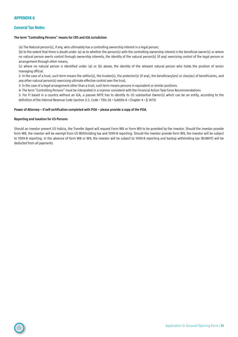# <span id="page-30-0"></span>**General Tax Notes**

# **The term "Controlling Persons" means for CRS and IGA Jurisdiction**

(a) The Natural person(s), if any, who ultimately has a controlling ownership interest in a legal person;

(b) to the extent that there is doubt under (a) as to whether the person(s) with the controlling ownership interest is the beneficial owner(s) or where no natural person exerts control through ownership interests, the identity of the natural person(s) (if any) exercising control of the legal person or arrangement through other means;

(c) where no natural person is identified under (a) or (b) above, the identity of the relevant natural person who holds the position of senior managing official.

2- In the case of a trust, such term means the settlor(s), the trustee(s), the protector(s) (if any), the beneficiary(ies) or class(es) of beneficiaries, and any other natural person(s) exercising ultimate effective control over the trust,

3- In the case of a legal arrangement other than a trust, such term means persons in equivalent or similar positions.

4- The term "Controlling Persons" must be interpreted in a manner consistent with the Financial Action Task Force Recommendations

5- For FI based in a country without an IGA, a passive NFFE has to identify its US substantial Owner(s) which can be an entity, according to the definition of the Internal Revenue Code (section U.S. Code › Title 26 › Subtitle A › Chapter 4 › § 1473)

### **Power of Attorney – if self-certification completed with POA – please provide a copy of the POA.**

### **Reporting and taxation for US Persons**

Should an investor present US Indicia, the Transfer Agent will request Form W8 or Form W9 to be provided by the investor. Should the investor provide form W8, the investor will be exempt from US Withholding tax and 1099-B reporting. Should the investor provide form W9, the investor will be subject to 1099-B reporting. In the absence of form W8 or W9, the investor will be subject to 1099-B reporting and backup withholding tax (BUWHT) will be deducted from all payments.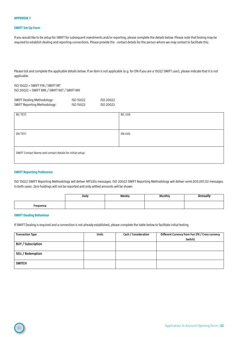#### <span id="page-31-0"></span>**SWIFT Set Up Form**

If you would like to be setup for SWIFT for subsequent investments and/or reporting, please complete the details below. Please note that testing may be required to establish dealing and reporting connections. Please provide the contact details for the person whom we may contact to facilitate this:

Please tick and complete the applicable details below. If an item is not applicable (e.g. for DN if you are a 15022 SWIFT user), please indicate that it is not applicable.

ISO 15022 = SWIFT FIN / SWIFT MT ISO 20022 = SWIFT XML / SWIFT NET / SWIFT MX

| SWIFT Dealing Methodology:   | ISO 15022 | ISO 20022 |
|------------------------------|-----------|-----------|
| SWIFT Reporting Methodology: | ISO 15022 | ISO 20022 |

| <b>BIC TEST:</b>                                          | <b>BIC LIVE:</b> |  |  |
|-----------------------------------------------------------|------------------|--|--|
|                                                           |                  |  |  |
|                                                           |                  |  |  |
| DN TEST:                                                  | DN LIVE:         |  |  |
|                                                           |                  |  |  |
|                                                           |                  |  |  |
| SWIFT Contact Name and contact details for initial setup: |                  |  |  |
|                                                           |                  |  |  |
|                                                           |                  |  |  |

#### **SWIFT Reporting Preference**

ISO 15022 SWIFT Reporting Methodology will deliver MT535s messages. ISO 20022 SWIFT Reporting Methodology will deliver semt.003.001.02 messages. In both cases: Zero holdings will not be reported and only settled amounts will be shown

|           | Daily | Weekly | Monthly | nnuallv.<br><u>ruuw</u> |
|-----------|-------|--------|---------|-------------------------|
| Frequency |       |        |         |                         |

### **SWIFT Dealing Behaviour**

If SWIFT Dealing is required and a connection is not already established, please complete the table below to facilitate initial testing.

| <b>Transaction Type</b>   | <b>Units</b> | Cash / Consideration | Different Currency from Fun (FX / Cross currency |
|---------------------------|--------------|----------------------|--------------------------------------------------|
|                           |              |                      | Switch)                                          |
| <b>BUY / Subscription</b> |              |                      |                                                  |
|                           |              |                      |                                                  |
| SELL / Redemption         |              |                      |                                                  |
|                           |              |                      |                                                  |
| <b>SWITCH</b>             |              |                      |                                                  |
|                           |              |                      |                                                  |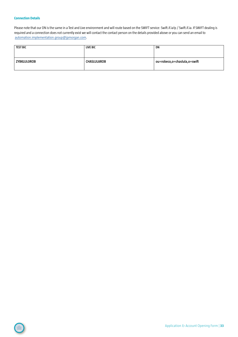# **Connection Details**

 $\bigcap$ 

Please note that our DN is the same in a Test and Live environment and will route based on the SWIFT service: Swift.if.ia!p / Swift.if.ia. If SWIFT dealing is required and a connection does not currently exist we will contact the contact person on the details provided above or you can send an email to [automation.implementation.group@jpmorgan.com](mailto:automation.implementation.group%40jpmorgan.com?subject=).

| TEST BIC    | LIVE BIC           | DN                           |
|-------------|--------------------|------------------------------|
| ZYBKLULOROB | <b>CHASLULAROB</b> | ou=robeco,o=chaslula,o=swift |